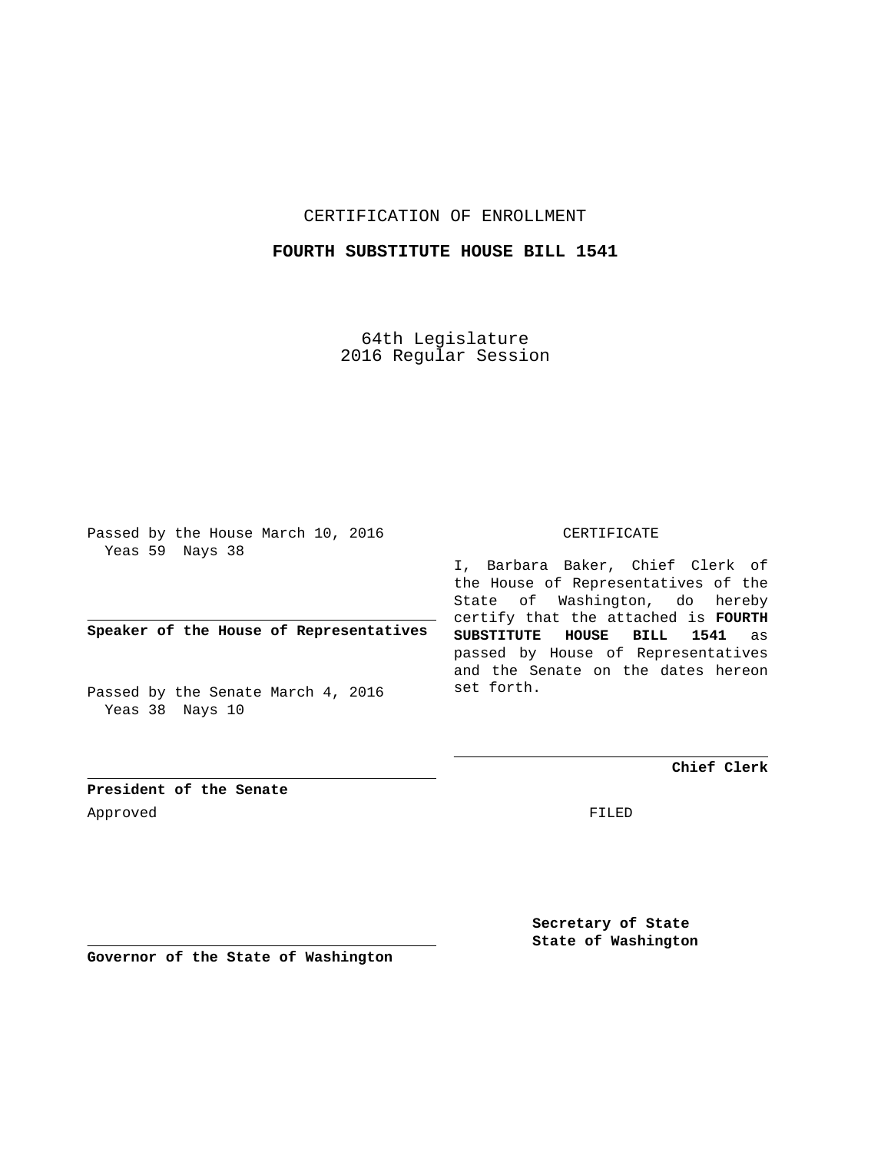CERTIFICATION OF ENROLLMENT

### **FOURTH SUBSTITUTE HOUSE BILL 1541**

64th Legislature 2016 Regular Session

Passed by the House March 10, 2016 Yeas 59 Nays 38

**Speaker of the House of Representatives**

Passed by the Senate March 4, 2016 Yeas 38 Nays 10

#### CERTIFICATE

I, Barbara Baker, Chief Clerk of the House of Representatives of the State of Washington, do hereby certify that the attached is **FOURTH SUBSTITUTE HOUSE BILL 1541** as passed by House of Representatives and the Senate on the dates hereon set forth.

**Chief Clerk**

**President of the Senate** Approved FILED

**Secretary of State State of Washington**

**Governor of the State of Washington**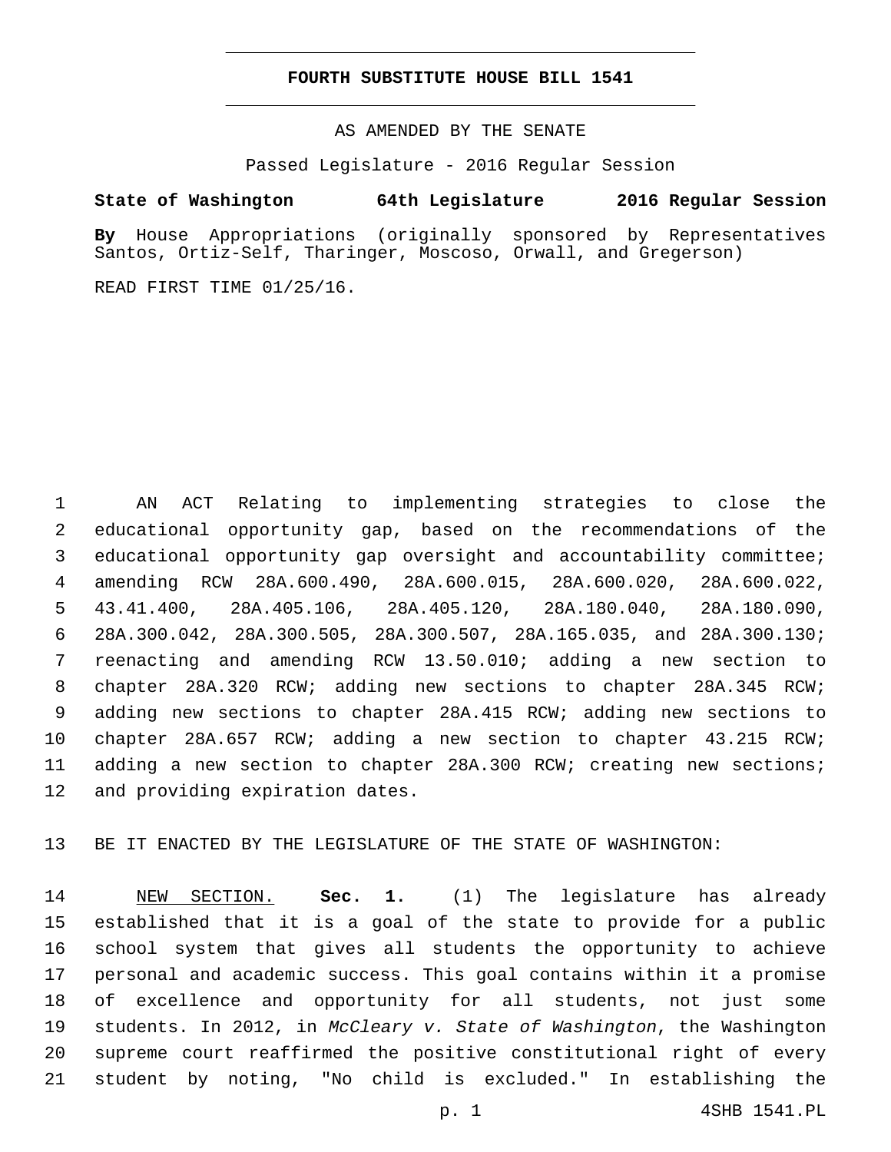#### **FOURTH SUBSTITUTE HOUSE BILL 1541**

AS AMENDED BY THE SENATE

Passed Legislature - 2016 Regular Session

## **State of Washington 64th Legislature 2016 Regular Session**

**By** House Appropriations (originally sponsored by Representatives Santos, Ortiz-Self, Tharinger, Moscoso, Orwall, and Gregerson)

READ FIRST TIME 01/25/16.

 AN ACT Relating to implementing strategies to close the educational opportunity gap, based on the recommendations of the educational opportunity gap oversight and accountability committee; amending RCW 28A.600.490, 28A.600.015, 28A.600.020, 28A.600.022, 43.41.400, 28A.405.106, 28A.405.120, 28A.180.040, 28A.180.090, 28A.300.042, 28A.300.505, 28A.300.507, 28A.165.035, and 28A.300.130; reenacting and amending RCW 13.50.010; adding a new section to chapter 28A.320 RCW; adding new sections to chapter 28A.345 RCW; adding new sections to chapter 28A.415 RCW; adding new sections to chapter 28A.657 RCW; adding a new section to chapter 43.215 RCW; adding a new section to chapter 28A.300 RCW; creating new sections; 12 and providing expiration dates.

BE IT ENACTED BY THE LEGISLATURE OF THE STATE OF WASHINGTON:

 NEW SECTION. **Sec. 1.** (1) The legislature has already established that it is a goal of the state to provide for a public school system that gives all students the opportunity to achieve personal and academic success. This goal contains within it a promise of excellence and opportunity for all students, not just some students. In 2012, in *McCleary v. State of Washington*, the Washington supreme court reaffirmed the positive constitutional right of every student by noting, "No child is excluded." In establishing the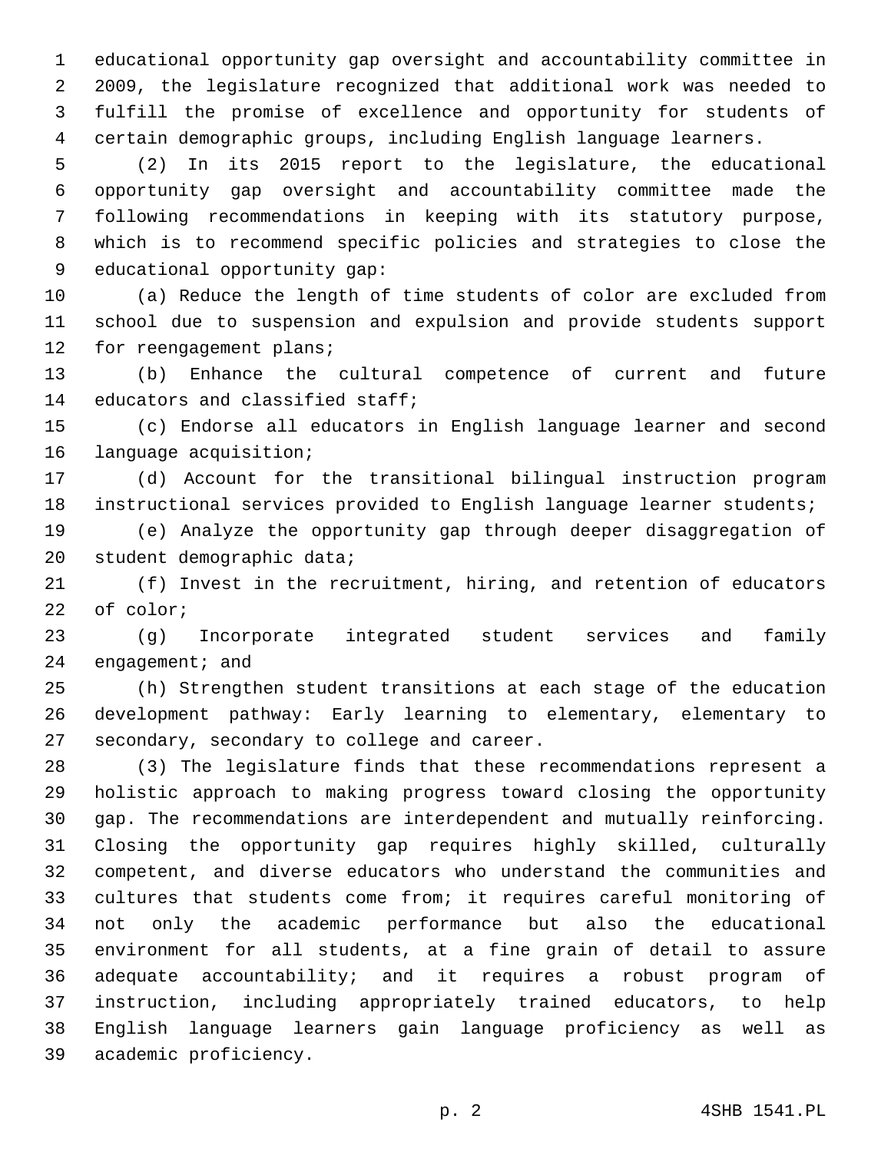educational opportunity gap oversight and accountability committee in 2009, the legislature recognized that additional work was needed to fulfill the promise of excellence and opportunity for students of certain demographic groups, including English language learners.

 (2) In its 2015 report to the legislature, the educational opportunity gap oversight and accountability committee made the following recommendations in keeping with its statutory purpose, which is to recommend specific policies and strategies to close the 9 educational opportunity gap:

 (a) Reduce the length of time students of color are excluded from school due to suspension and expulsion and provide students support 12 for reengagement plans;

 (b) Enhance the cultural competence of current and future 14 educators and classified staff;

 (c) Endorse all educators in English language learner and second 16 language acquisition;

 (d) Account for the transitional bilingual instruction program instructional services provided to English language learner students;

 (e) Analyze the opportunity gap through deeper disaggregation of 20 student demographic data;

 (f) Invest in the recruitment, hiring, and retention of educators 22 of color;

 (g) Incorporate integrated student services and family engagement; and

 (h) Strengthen student transitions at each stage of the education development pathway: Early learning to elementary, elementary to 27 secondary, secondary to college and career.

 (3) The legislature finds that these recommendations represent a holistic approach to making progress toward closing the opportunity gap. The recommendations are interdependent and mutually reinforcing. Closing the opportunity gap requires highly skilled, culturally competent, and diverse educators who understand the communities and cultures that students come from; it requires careful monitoring of not only the academic performance but also the educational environment for all students, at a fine grain of detail to assure adequate accountability; and it requires a robust program of instruction, including appropriately trained educators, to help English language learners gain language proficiency as well as 39 academic proficiency.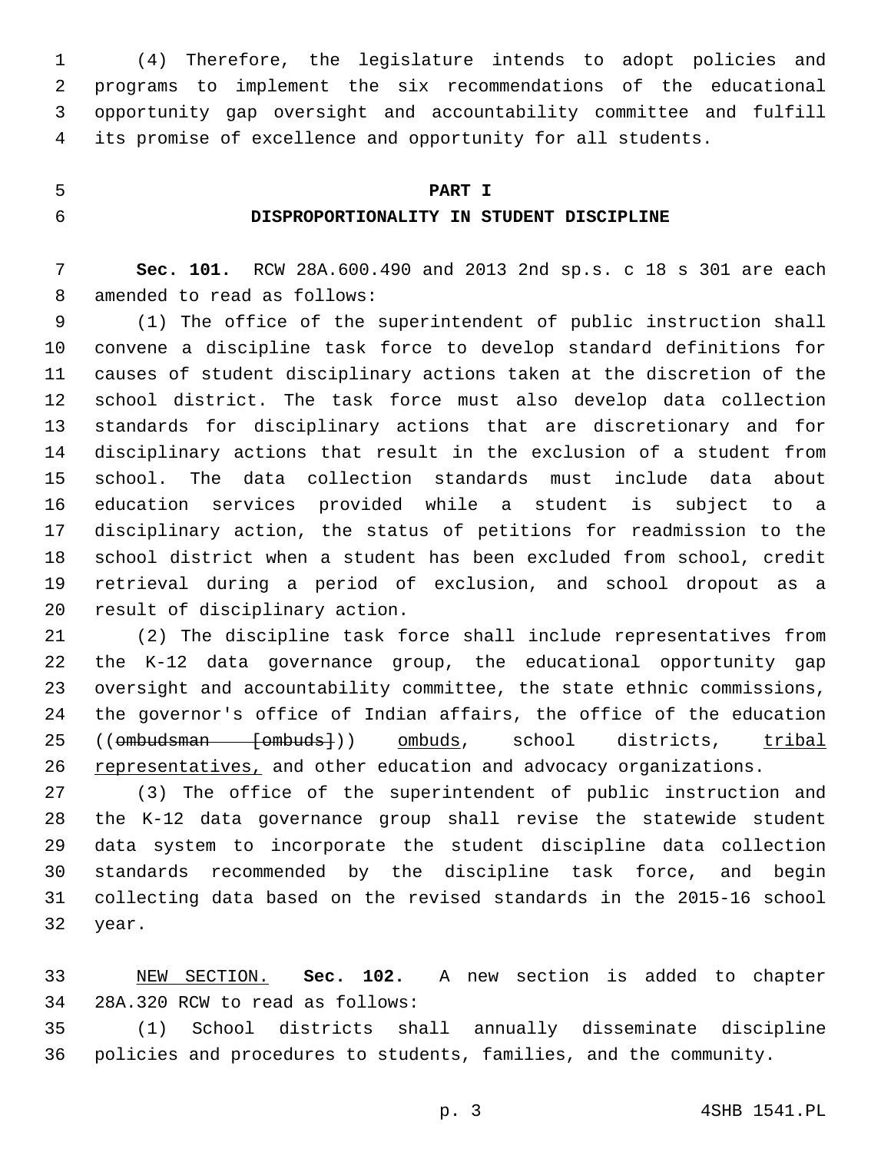(4) Therefore, the legislature intends to adopt policies and programs to implement the six recommendations of the educational opportunity gap oversight and accountability committee and fulfill its promise of excellence and opportunity for all students.

### **PART I**

## **DISPROPORTIONALITY IN STUDENT DISCIPLINE**

 **Sec. 101.** RCW 28A.600.490 and 2013 2nd sp.s. c 18 s 301 are each 8 amended to read as follows:

 (1) The office of the superintendent of public instruction shall convene a discipline task force to develop standard definitions for causes of student disciplinary actions taken at the discretion of the school district. The task force must also develop data collection standards for disciplinary actions that are discretionary and for disciplinary actions that result in the exclusion of a student from school. The data collection standards must include data about education services provided while a student is subject to a disciplinary action, the status of petitions for readmission to the school district when a student has been excluded from school, credit retrieval during a period of exclusion, and school dropout as a 20 result of disciplinary action.

 (2) The discipline task force shall include representatives from the K-12 data governance group, the educational opportunity gap oversight and accountability committee, the state ethnic commissions, the governor's office of Indian affairs, the office of the education 25 ((ombudsman [ombuds])) ombuds, school districts, tribal 26 representatives, and other education and advocacy organizations.

 (3) The office of the superintendent of public instruction and the K-12 data governance group shall revise the statewide student data system to incorporate the student discipline data collection standards recommended by the discipline task force, and begin collecting data based on the revised standards in the 2015-16 school 32 year.

 NEW SECTION. **Sec. 102.** A new section is added to chapter 34 28A.320 RCW to read as follows:

 (1) School districts shall annually disseminate discipline policies and procedures to students, families, and the community.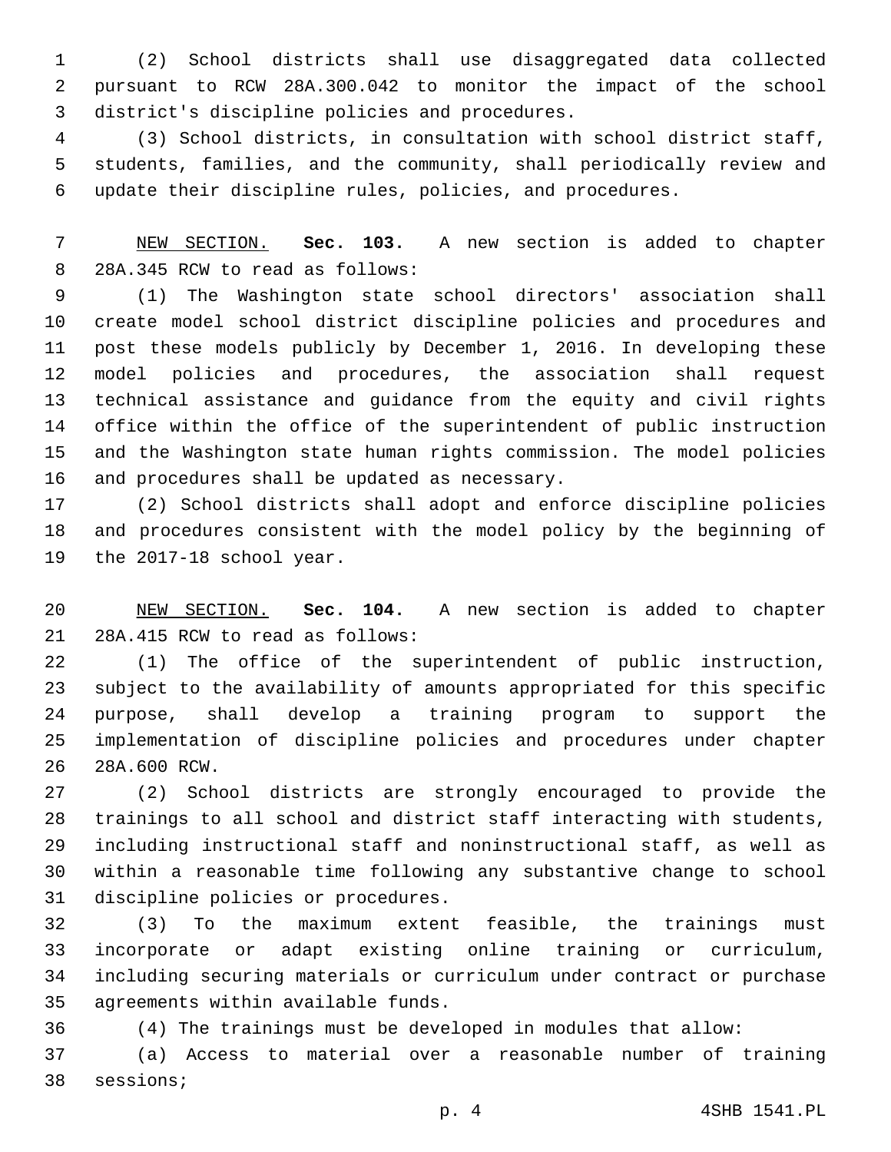(2) School districts shall use disaggregated data collected pursuant to RCW 28A.300.042 to monitor the impact of the school district's discipline policies and procedures.3

 (3) School districts, in consultation with school district staff, students, families, and the community, shall periodically review and update their discipline rules, policies, and procedures.

 NEW SECTION. **Sec. 103.** A new section is added to chapter 8 28A.345 RCW to read as follows:

 (1) The Washington state school directors' association shall create model school district discipline policies and procedures and post these models publicly by December 1, 2016. In developing these model policies and procedures, the association shall request technical assistance and guidance from the equity and civil rights office within the office of the superintendent of public instruction and the Washington state human rights commission. The model policies 16 and procedures shall be updated as necessary.

 (2) School districts shall adopt and enforce discipline policies and procedures consistent with the model policy by the beginning of 19 the 2017-18 school year.

 NEW SECTION. **Sec. 104.** A new section is added to chapter 21 28A.415 RCW to read as follows:

 (1) The office of the superintendent of public instruction, subject to the availability of amounts appropriated for this specific purpose, shall develop a training program to support the implementation of discipline policies and procedures under chapter 28A.600 RCW.26

 (2) School districts are strongly encouraged to provide the trainings to all school and district staff interacting with students, including instructional staff and noninstructional staff, as well as within a reasonable time following any substantive change to school 31 discipline policies or procedures.

 (3) To the maximum extent feasible, the trainings must incorporate or adapt existing online training or curriculum, including securing materials or curriculum under contract or purchase 35 agreements within available funds.

(4) The trainings must be developed in modules that allow:

 (a) Access to material over a reasonable number of training 38 sessions;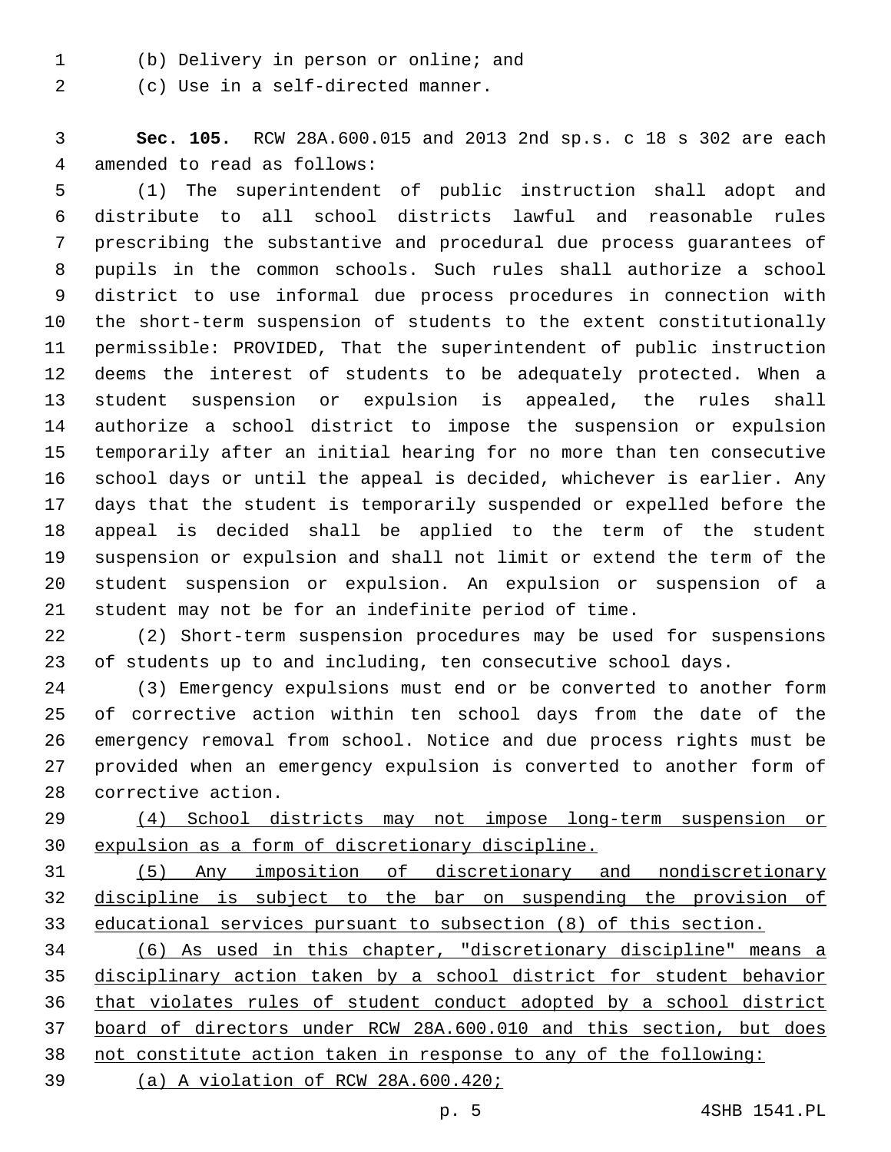(b) Delivery in person or online; and1

2 (c) Use in a self-directed manner.

 **Sec. 105.** RCW 28A.600.015 and 2013 2nd sp.s. c 18 s 302 are each 4 amended to read as follows:

 (1) The superintendent of public instruction shall adopt and distribute to all school districts lawful and reasonable rules prescribing the substantive and procedural due process guarantees of pupils in the common schools. Such rules shall authorize a school district to use informal due process procedures in connection with the short-term suspension of students to the extent constitutionally permissible: PROVIDED, That the superintendent of public instruction deems the interest of students to be adequately protected. When a student suspension or expulsion is appealed, the rules shall authorize a school district to impose the suspension or expulsion temporarily after an initial hearing for no more than ten consecutive school days or until the appeal is decided, whichever is earlier. Any days that the student is temporarily suspended or expelled before the appeal is decided shall be applied to the term of the student suspension or expulsion and shall not limit or extend the term of the student suspension or expulsion. An expulsion or suspension of a student may not be for an indefinite period of time.

 (2) Short-term suspension procedures may be used for suspensions of students up to and including, ten consecutive school days.

 (3) Emergency expulsions must end or be converted to another form of corrective action within ten school days from the date of the emergency removal from school. Notice and due process rights must be provided when an emergency expulsion is converted to another form of 28 corrective action.

 (4) School districts may not impose long-term suspension or expulsion as a form of discretionary discipline.

 (5) Any imposition of discretionary and nondiscretionary discipline is subject to the bar on suspending the provision of educational services pursuant to subsection (8) of this section.

 (6) As used in this chapter, "discretionary discipline" means a disciplinary action taken by a school district for student behavior that violates rules of student conduct adopted by a school district board of directors under RCW 28A.600.010 and this section, but does not constitute action taken in response to any of the following:

(a) A violation of RCW 28A.600.420;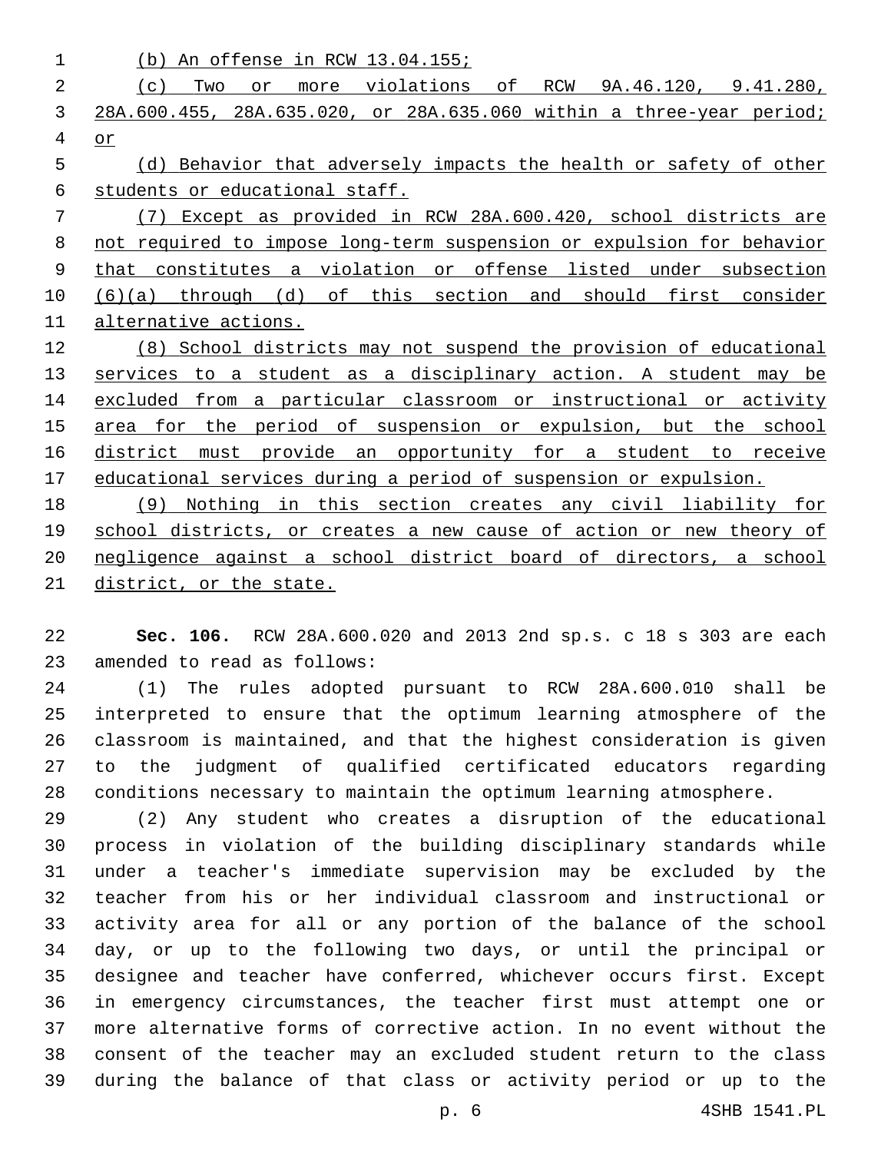| 1           | An offense in RCW 13.04.155;<br>(b)                                                                |
|-------------|----------------------------------------------------------------------------------------------------|
| 2           | violations<br>оf<br>RCW<br>9A.46.120, 9.41.280,<br>Two<br>(c)<br>or<br>more                        |
| 3           | 28A.600.455, 28A.635.020, or 28A.635.060 within a three-year period;                               |
| 4           | or                                                                                                 |
| 5           | Behavior that adversely impacts the health or safety of other<br>(d)                               |
| 6           | students or educational staff.                                                                     |
| 7           | Except as provided in RCW 28A.600.420, school districts are<br>(7)                                 |
| 8           | not required to impose long-term suspension or expulsion for behavior                              |
| $\mathsf 9$ | violation<br>constitutes<br>offense<br>listed<br>under<br>subsection<br>that<br>$\mathsf{a}$<br>or |
| 10          | of<br>this<br>section<br>first<br>through<br>(d)<br>should<br>and<br>consider<br>(6)(a)            |
| 11          | alternative actions.                                                                               |
| 12          | School districts may not suspend the provision of educational<br>(8)                               |
| 13          | a disciplinary action. A student<br>a student<br>services<br>to<br>as<br>may be                    |
| 14          | a particular classroom or<br>instructional<br>from<br>excluded<br>or activity                      |
| 15          | suspension or<br>expulsion, but<br>for<br>the<br>period<br>of<br>the<br>school<br>area             |
| 16          | district<br>provide an<br>opportunity for<br>student<br>to<br>receive<br>must<br>a                 |
| 17          | educational services during a period of suspension or expulsion.                                   |
| 18          | this<br>section creates any<br>civil liability for<br>Nothing<br>in<br>(9)                         |
| 19          | school districts, or creates a new cause of action or new<br>theory of                             |
| 20          | negligence against a school district board of directors,<br>a school                               |

district, or the state.

 **Sec. 106.** RCW 28A.600.020 and 2013 2nd sp.s. c 18 s 303 are each 23 amended to read as follows:

 (1) The rules adopted pursuant to RCW 28A.600.010 shall be interpreted to ensure that the optimum learning atmosphere of the classroom is maintained, and that the highest consideration is given to the judgment of qualified certificated educators regarding conditions necessary to maintain the optimum learning atmosphere.

 (2) Any student who creates a disruption of the educational process in violation of the building disciplinary standards while under a teacher's immediate supervision may be excluded by the teacher from his or her individual classroom and instructional or activity area for all or any portion of the balance of the school day, or up to the following two days, or until the principal or designee and teacher have conferred, whichever occurs first. Except in emergency circumstances, the teacher first must attempt one or more alternative forms of corrective action. In no event without the consent of the teacher may an excluded student return to the class during the balance of that class or activity period or up to the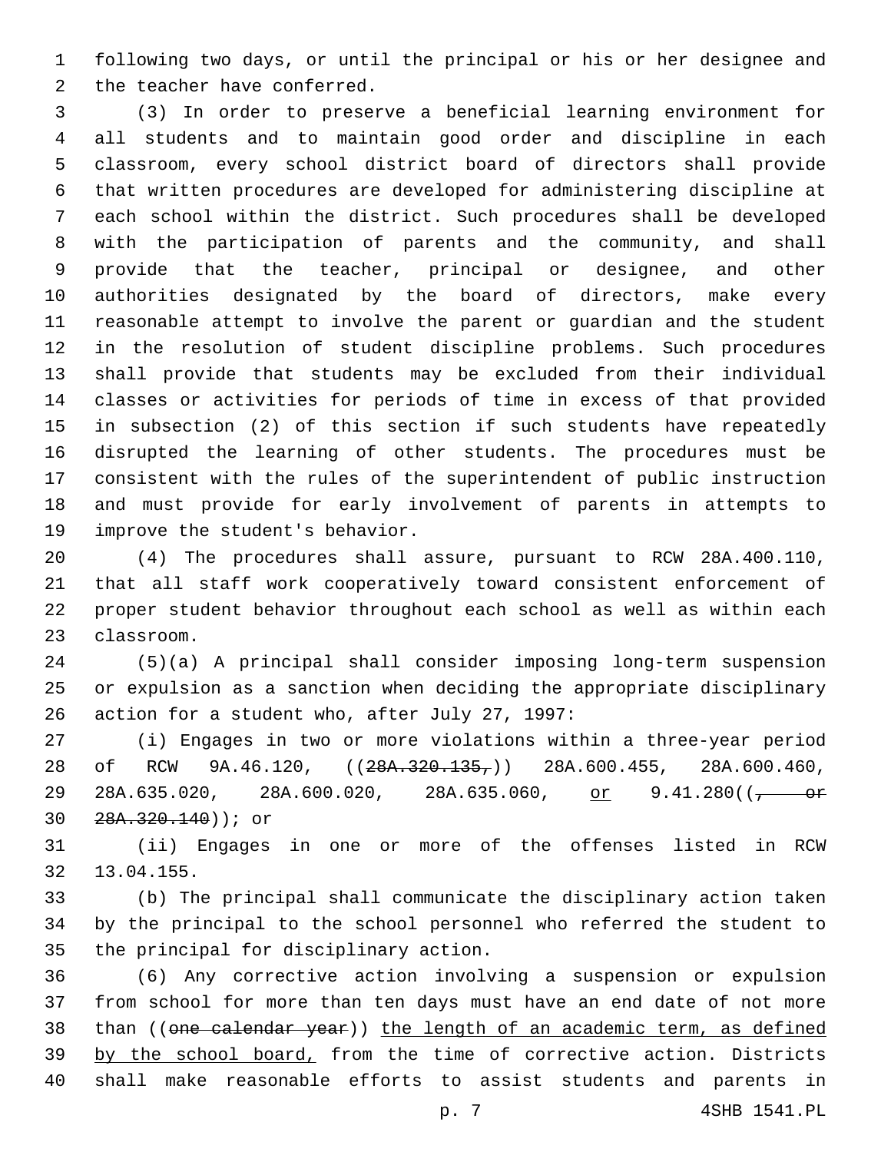following two days, or until the principal or his or her designee and 2 the teacher have conferred.

 (3) In order to preserve a beneficial learning environment for all students and to maintain good order and discipline in each classroom, every school district board of directors shall provide that written procedures are developed for administering discipline at each school within the district. Such procedures shall be developed with the participation of parents and the community, and shall provide that the teacher, principal or designee, and other authorities designated by the board of directors, make every reasonable attempt to involve the parent or guardian and the student in the resolution of student discipline problems. Such procedures shall provide that students may be excluded from their individual classes or activities for periods of time in excess of that provided in subsection (2) of this section if such students have repeatedly disrupted the learning of other students. The procedures must be consistent with the rules of the superintendent of public instruction and must provide for early involvement of parents in attempts to 19 improve the student's behavior.

 (4) The procedures shall assure, pursuant to RCW 28A.400.110, that all staff work cooperatively toward consistent enforcement of proper student behavior throughout each school as well as within each 23 classroom.

 (5)(a) A principal shall consider imposing long-term suspension or expulsion as a sanction when deciding the appropriate disciplinary 26 action for a student who, after July 27, 1997:

 (i) Engages in two or more violations within a three-year period 28 of RCW 9A.46.120,  $((28A.320.135,))$  28A.600.455, 28A.600.460, 29 28A.635.020, 28A.600.020, 28A.635.060, or 9.41.280(( $\frac{\text{or}}{\text{or}}$ 28A.320.140)); or30

 (ii) Engages in one or more of the offenses listed in RCW 13.04.155.32

 (b) The principal shall communicate the disciplinary action taken by the principal to the school personnel who referred the student to 35 the principal for disciplinary action.

 (6) Any corrective action involving a suspension or expulsion from school for more than ten days must have an end date of not more 38 than ((one calendar year)) the length of an academic term, as defined 39 by the school board, from the time of corrective action. Districts shall make reasonable efforts to assist students and parents in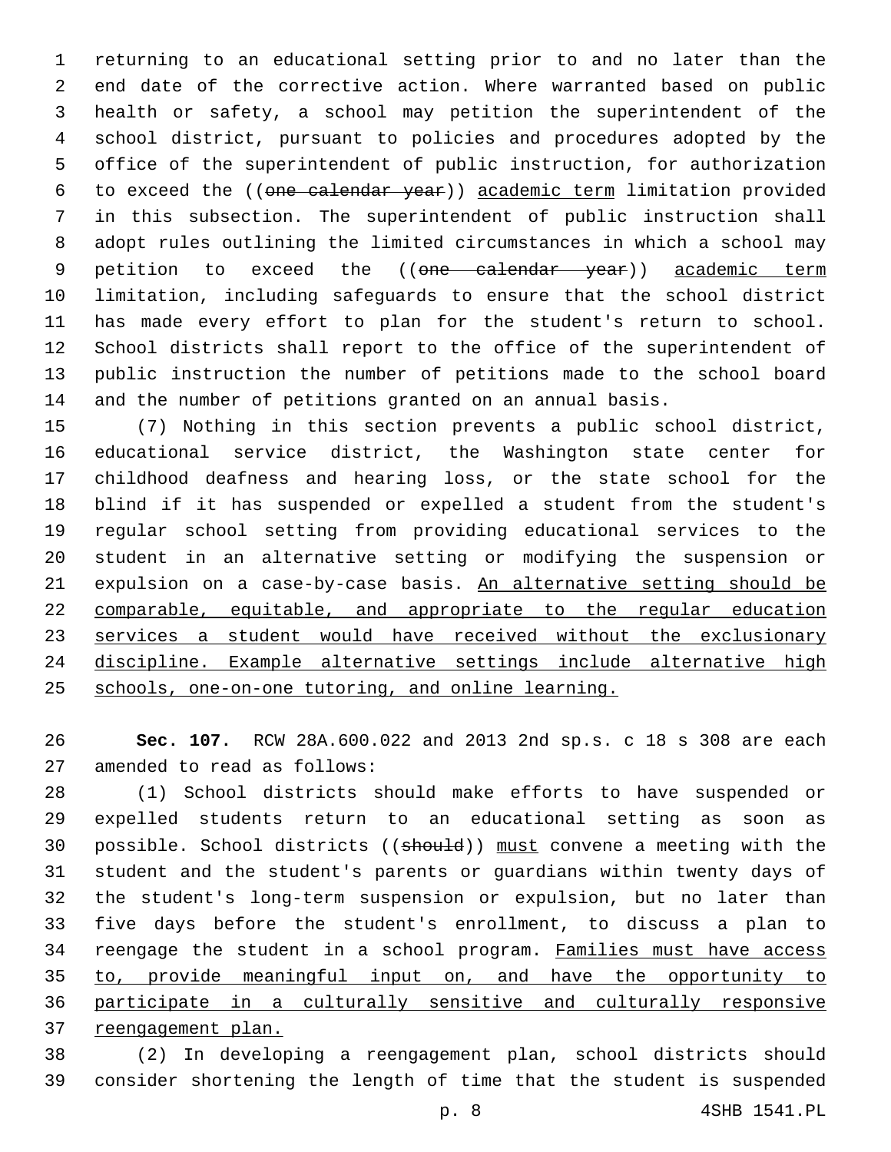returning to an educational setting prior to and no later than the end date of the corrective action. Where warranted based on public health or safety, a school may petition the superintendent of the school district, pursuant to policies and procedures adopted by the office of the superintendent of public instruction, for authorization to exceed the ((one calendar year)) academic term limitation provided in this subsection. The superintendent of public instruction shall adopt rules outlining the limited circumstances in which a school may 9 petition to exceed the ((one calendar year)) academic term limitation, including safeguards to ensure that the school district has made every effort to plan for the student's return to school. School districts shall report to the office of the superintendent of public instruction the number of petitions made to the school board and the number of petitions granted on an annual basis.

 (7) Nothing in this section prevents a public school district, educational service district, the Washington state center for childhood deafness and hearing loss, or the state school for the blind if it has suspended or expelled a student from the student's regular school setting from providing educational services to the student in an alternative setting or modifying the suspension or expulsion on a case-by-case basis. An alternative setting should be comparable, equitable, and appropriate to the regular education services a student would have received without the exclusionary discipline. Example alternative settings include alternative high schools, one-on-one tutoring, and online learning.

 **Sec. 107.** RCW 28A.600.022 and 2013 2nd sp.s. c 18 s 308 are each 27 amended to read as follows:

 (1) School districts should make efforts to have suspended or expelled students return to an educational setting as soon as possible. School districts ((should)) must convene a meeting with the student and the student's parents or guardians within twenty days of the student's long-term suspension or expulsion, but no later than five days before the student's enrollment, to discuss a plan to reengage the student in a school program. Families must have access to, provide meaningful input on, and have the opportunity to participate in a culturally sensitive and culturally responsive reengagement plan.

 (2) In developing a reengagement plan, school districts should consider shortening the length of time that the student is suspended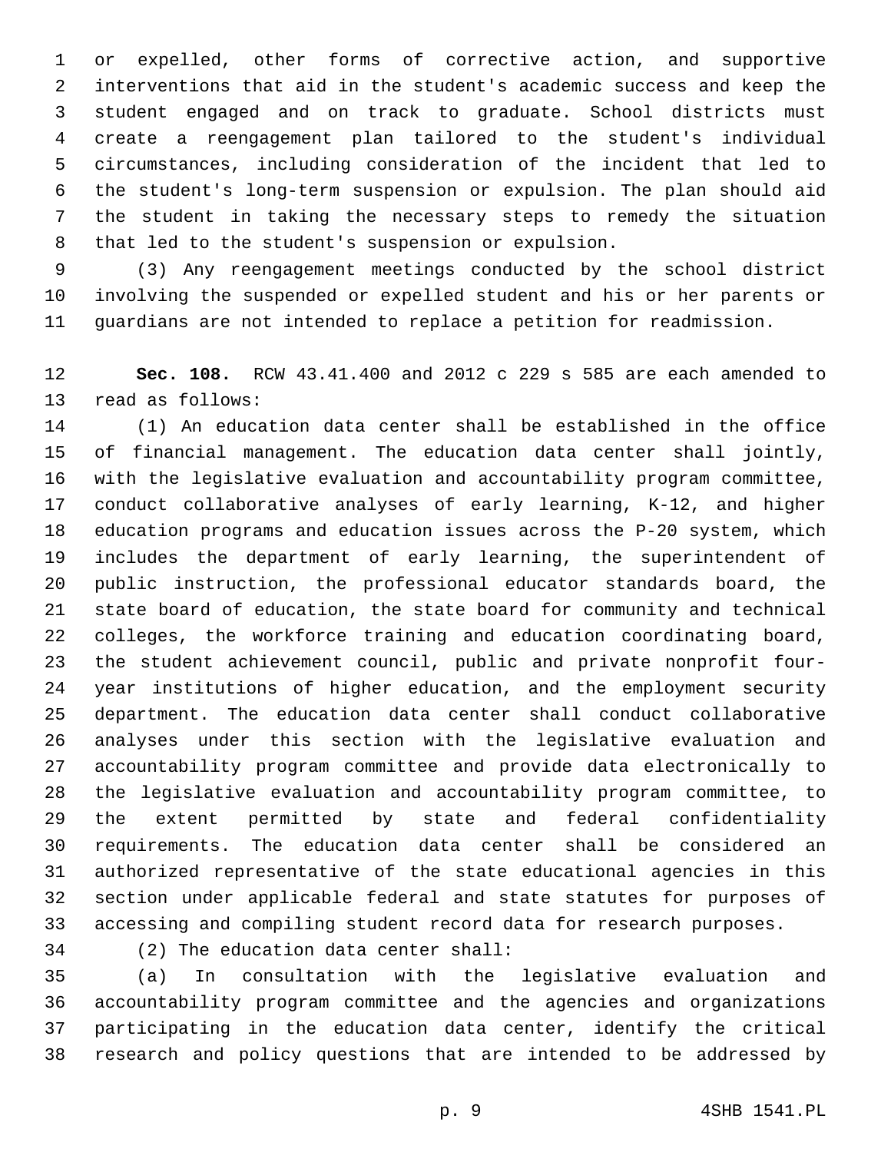or expelled, other forms of corrective action, and supportive interventions that aid in the student's academic success and keep the student engaged and on track to graduate. School districts must create a reengagement plan tailored to the student's individual circumstances, including consideration of the incident that led to the student's long-term suspension or expulsion. The plan should aid the student in taking the necessary steps to remedy the situation 8 that led to the student's suspension or expulsion.

 (3) Any reengagement meetings conducted by the school district involving the suspended or expelled student and his or her parents or guardians are not intended to replace a petition for readmission.

 **Sec. 108.** RCW 43.41.400 and 2012 c 229 s 585 are each amended to 13 read as follows:

 (1) An education data center shall be established in the office of financial management. The education data center shall jointly, with the legislative evaluation and accountability program committee, conduct collaborative analyses of early learning, K-12, and higher education programs and education issues across the P-20 system, which includes the department of early learning, the superintendent of public instruction, the professional educator standards board, the state board of education, the state board for community and technical colleges, the workforce training and education coordinating board, the student achievement council, public and private nonprofit four- year institutions of higher education, and the employment security department. The education data center shall conduct collaborative analyses under this section with the legislative evaluation and accountability program committee and provide data electronically to the legislative evaluation and accountability program committee, to the extent permitted by state and federal confidentiality requirements. The education data center shall be considered an authorized representative of the state educational agencies in this section under applicable federal and state statutes for purposes of accessing and compiling student record data for research purposes.

(2) The education data center shall:34

 (a) In consultation with the legislative evaluation and accountability program committee and the agencies and organizations participating in the education data center, identify the critical research and policy questions that are intended to be addressed by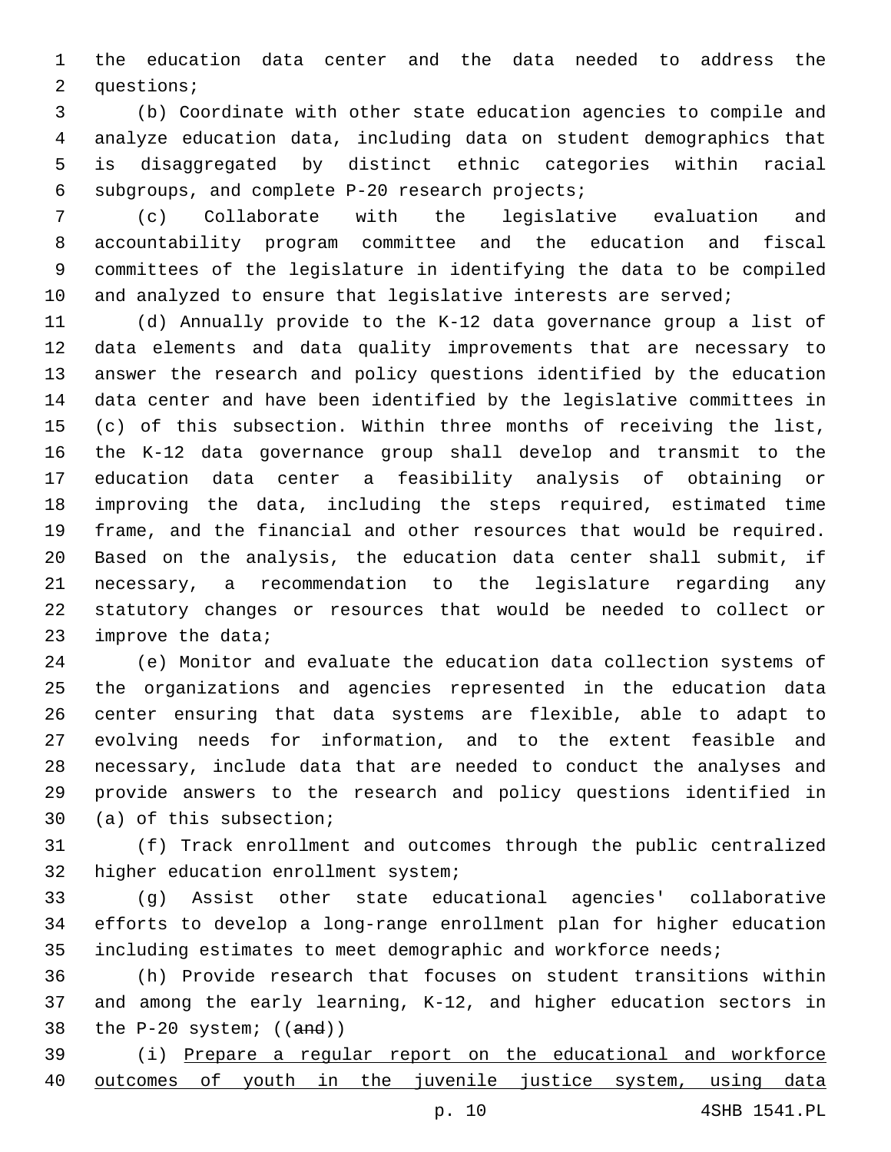the education data center and the data needed to address the 2 questions;

 (b) Coordinate with other state education agencies to compile and analyze education data, including data on student demographics that is disaggregated by distinct ethnic categories within racial 6 subgroups, and complete P-20 research projects;

 (c) Collaborate with the legislative evaluation and accountability program committee and the education and fiscal committees of the legislature in identifying the data to be compiled 10 and analyzed to ensure that legislative interests are served;

 (d) Annually provide to the K-12 data governance group a list of data elements and data quality improvements that are necessary to answer the research and policy questions identified by the education data center and have been identified by the legislative committees in (c) of this subsection. Within three months of receiving the list, the K-12 data governance group shall develop and transmit to the education data center a feasibility analysis of obtaining or improving the data, including the steps required, estimated time frame, and the financial and other resources that would be required. Based on the analysis, the education data center shall submit, if necessary, a recommendation to the legislature regarding any statutory changes or resources that would be needed to collect or 23 improve the data;

 (e) Monitor and evaluate the education data collection systems of the organizations and agencies represented in the education data center ensuring that data systems are flexible, able to adapt to evolving needs for information, and to the extent feasible and necessary, include data that are needed to conduct the analyses and provide answers to the research and policy questions identified in 30 (a) of this subsection;

 (f) Track enrollment and outcomes through the public centralized 32 higher education enrollment system;

 (g) Assist other state educational agencies' collaborative efforts to develop a long-range enrollment plan for higher education including estimates to meet demographic and workforce needs;

 (h) Provide research that focuses on student transitions within and among the early learning, K-12, and higher education sectors in 38 the  $P-20$  system;  $((and))$ 

 (i) Prepare a regular report on the educational and workforce 40 outcomes of youth in the juvenile justice system, using data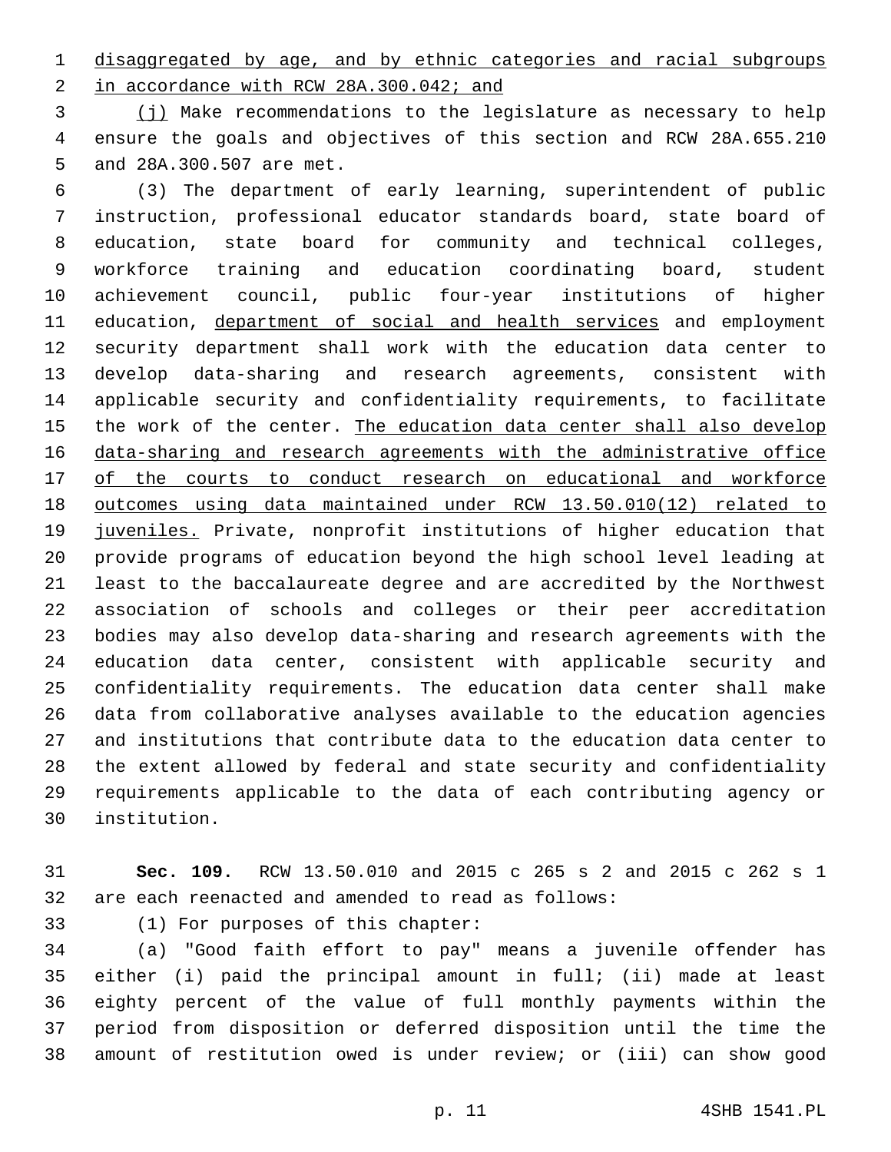disaggregated by age, and by ethnic categories and racial subgroups 2 in accordance with RCW 28A.300.042; and

 (j) Make recommendations to the legislature as necessary to help ensure the goals and objectives of this section and RCW 28A.655.210 5 and 28A.300.507 are met.

 (3) The department of early learning, superintendent of public instruction, professional educator standards board, state board of education, state board for community and technical colleges, workforce training and education coordinating board, student achievement council, public four-year institutions of higher 11 education, department of social and health services and employment security department shall work with the education data center to develop data-sharing and research agreements, consistent with applicable security and confidentiality requirements, to facilitate 15 the work of the center. The education data center shall also develop data-sharing and research agreements with the administrative office of the courts to conduct research on educational and workforce outcomes using data maintained under RCW 13.50.010(12) related to 19 juveniles. Private, nonprofit institutions of higher education that provide programs of education beyond the high school level leading at least to the baccalaureate degree and are accredited by the Northwest association of schools and colleges or their peer accreditation bodies may also develop data-sharing and research agreements with the education data center, consistent with applicable security and confidentiality requirements. The education data center shall make data from collaborative analyses available to the education agencies and institutions that contribute data to the education data center to the extent allowed by federal and state security and confidentiality requirements applicable to the data of each contributing agency or institution.30

 **Sec. 109.** RCW 13.50.010 and 2015 c 265 s 2 and 2015 c 262 s 1 are each reenacted and amended to read as follows:

33 (1) For purposes of this chapter:

 (a) "Good faith effort to pay" means a juvenile offender has either (i) paid the principal amount in full; (ii) made at least eighty percent of the value of full monthly payments within the period from disposition or deferred disposition until the time the amount of restitution owed is under review; or (iii) can show good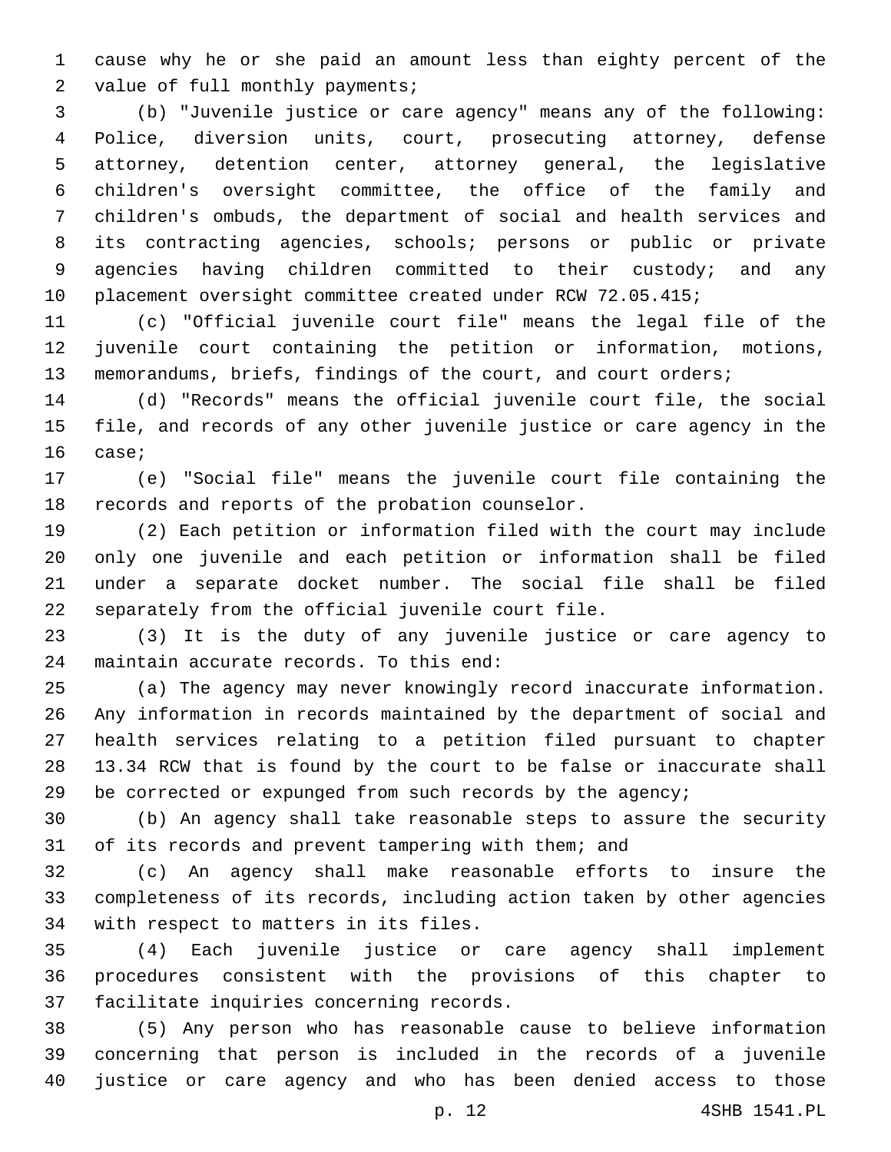cause why he or she paid an amount less than eighty percent of the 2 value of full monthly payments;

 (b) "Juvenile justice or care agency" means any of the following: Police, diversion units, court, prosecuting attorney, defense attorney, detention center, attorney general, the legislative children's oversight committee, the office of the family and children's ombuds, the department of social and health services and its contracting agencies, schools; persons or public or private 9 agencies having children committed to their custody; and any placement oversight committee created under RCW 72.05.415;

 (c) "Official juvenile court file" means the legal file of the juvenile court containing the petition or information, motions, memorandums, briefs, findings of the court, and court orders;

 (d) "Records" means the official juvenile court file, the social file, and records of any other juvenile justice or care agency in the 16 case;

 (e) "Social file" means the juvenile court file containing the 18 records and reports of the probation counselor.

 (2) Each petition or information filed with the court may include only one juvenile and each petition or information shall be filed under a separate docket number. The social file shall be filed 22 separately from the official juvenile court file.

 (3) It is the duty of any juvenile justice or care agency to 24 maintain accurate records. To this end:

 (a) The agency may never knowingly record inaccurate information. Any information in records maintained by the department of social and health services relating to a petition filed pursuant to chapter 13.34 RCW that is found by the court to be false or inaccurate shall 29 be corrected or expunged from such records by the agency;

 (b) An agency shall take reasonable steps to assure the security of its records and prevent tampering with them; and

 (c) An agency shall make reasonable efforts to insure the completeness of its records, including action taken by other agencies 34 with respect to matters in its files.

 (4) Each juvenile justice or care agency shall implement procedures consistent with the provisions of this chapter to 37 facilitate inquiries concerning records.

 (5) Any person who has reasonable cause to believe information concerning that person is included in the records of a juvenile justice or care agency and who has been denied access to those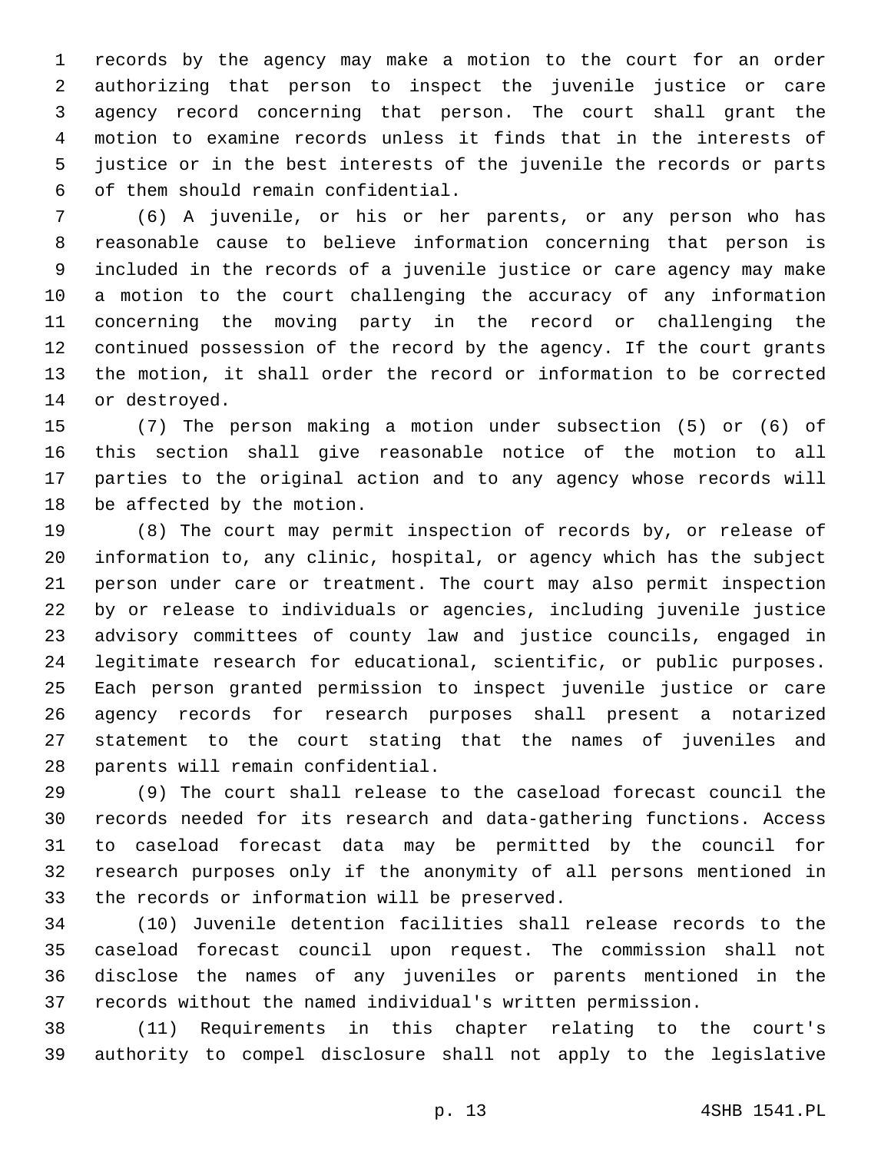records by the agency may make a motion to the court for an order authorizing that person to inspect the juvenile justice or care agency record concerning that person. The court shall grant the motion to examine records unless it finds that in the interests of justice or in the best interests of the juvenile the records or parts of them should remain confidential.6

 (6) A juvenile, or his or her parents, or any person who has reasonable cause to believe information concerning that person is included in the records of a juvenile justice or care agency may make a motion to the court challenging the accuracy of any information concerning the moving party in the record or challenging the continued possession of the record by the agency. If the court grants the motion, it shall order the record or information to be corrected 14 or destroyed.

 (7) The person making a motion under subsection (5) or (6) of this section shall give reasonable notice of the motion to all parties to the original action and to any agency whose records will 18 be affected by the motion.

 (8) The court may permit inspection of records by, or release of information to, any clinic, hospital, or agency which has the subject person under care or treatment. The court may also permit inspection by or release to individuals or agencies, including juvenile justice advisory committees of county law and justice councils, engaged in legitimate research for educational, scientific, or public purposes. Each person granted permission to inspect juvenile justice or care agency records for research purposes shall present a notarized statement to the court stating that the names of juveniles and 28 parents will remain confidential.

 (9) The court shall release to the caseload forecast council the records needed for its research and data-gathering functions. Access to caseload forecast data may be permitted by the council for research purposes only if the anonymity of all persons mentioned in 33 the records or information will be preserved.

 (10) Juvenile detention facilities shall release records to the caseload forecast council upon request. The commission shall not disclose the names of any juveniles or parents mentioned in the records without the named individual's written permission.

 (11) Requirements in this chapter relating to the court's authority to compel disclosure shall not apply to the legislative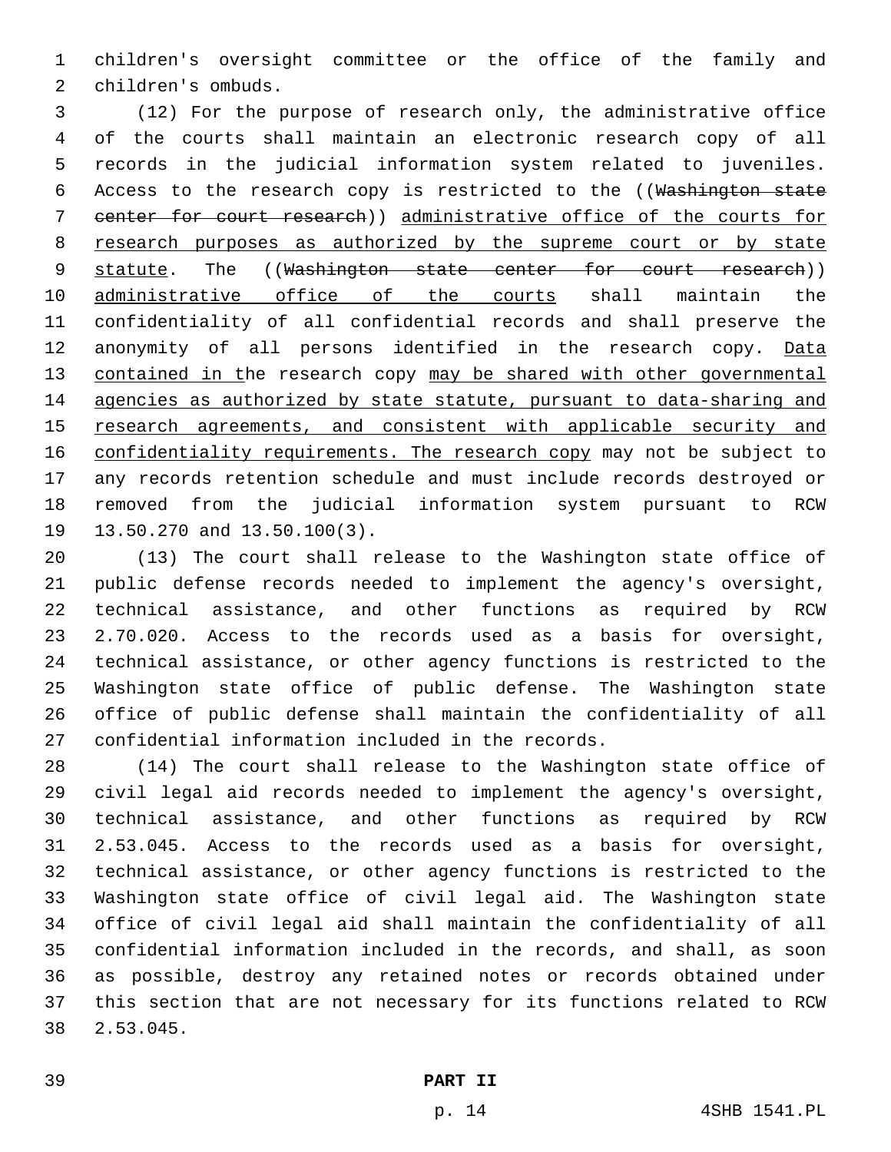children's oversight committee or the office of the family and 2 children's ombuds.

 (12) For the purpose of research only, the administrative office of the courts shall maintain an electronic research copy of all records in the judicial information system related to juveniles. Access to the research copy is restricted to the ((Washington state center for court research)) administrative office of the courts for research purposes as authorized by the supreme court or by state 9 statute. The ((Washington state center for court research)) 10 administrative office of the courts shall maintain the confidentiality of all confidential records and shall preserve the 12 anonymity of all persons identified in the research copy. Data 13 contained in the research copy may be shared with other governmental agencies as authorized by state statute, pursuant to data-sharing and research agreements, and consistent with applicable security and 16 confidentiality requirements. The research copy may not be subject to any records retention schedule and must include records destroyed or removed from the judicial information system pursuant to RCW 19 13.50.270 and 13.50.100(3).

 (13) The court shall release to the Washington state office of public defense records needed to implement the agency's oversight, technical assistance, and other functions as required by RCW 2.70.020. Access to the records used as a basis for oversight, technical assistance, or other agency functions is restricted to the Washington state office of public defense. The Washington state office of public defense shall maintain the confidentiality of all 27 confidential information included in the records.

 (14) The court shall release to the Washington state office of civil legal aid records needed to implement the agency's oversight, technical assistance, and other functions as required by RCW 2.53.045. Access to the records used as a basis for oversight, technical assistance, or other agency functions is restricted to the Washington state office of civil legal aid. The Washington state office of civil legal aid shall maintain the confidentiality of all confidential information included in the records, and shall, as soon as possible, destroy any retained notes or records obtained under this section that are not necessary for its functions related to RCW 2.53.045.38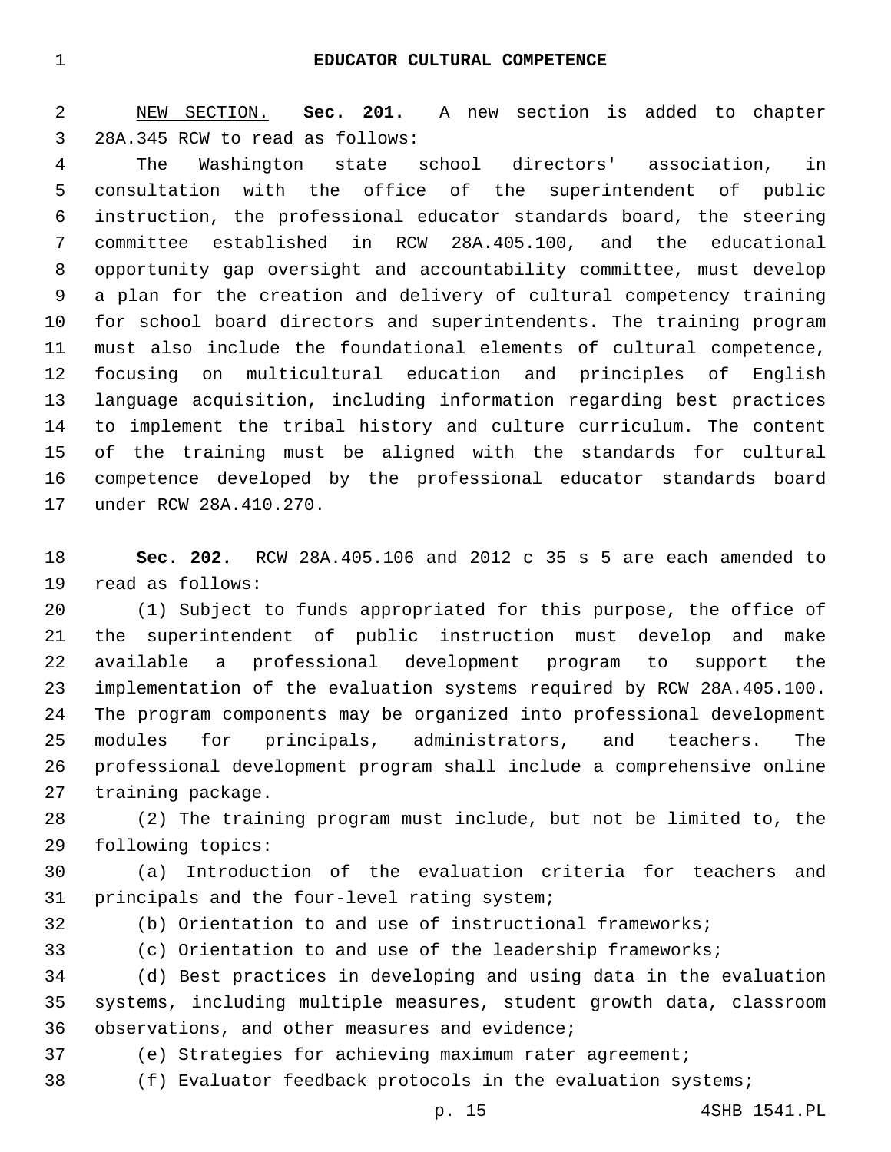NEW SECTION. **Sec. 201.** A new section is added to chapter 3 28A.345 RCW to read as follows:

 The Washington state school directors' association, in consultation with the office of the superintendent of public instruction, the professional educator standards board, the steering committee established in RCW 28A.405.100, and the educational opportunity gap oversight and accountability committee, must develop a plan for the creation and delivery of cultural competency training for school board directors and superintendents. The training program must also include the foundational elements of cultural competence, focusing on multicultural education and principles of English language acquisition, including information regarding best practices to implement the tribal history and culture curriculum. The content of the training must be aligned with the standards for cultural competence developed by the professional educator standards board 17 under RCW 28A.410.270.

 **Sec. 202.** RCW 28A.405.106 and 2012 c 35 s 5 are each amended to 19 read as follows:

 (1) Subject to funds appropriated for this purpose, the office of the superintendent of public instruction must develop and make available a professional development program to support the implementation of the evaluation systems required by RCW 28A.405.100. The program components may be organized into professional development modules for principals, administrators, and teachers. The professional development program shall include a comprehensive online 27 training package.

 (2) The training program must include, but not be limited to, the 29 following topics:

 (a) Introduction of the evaluation criteria for teachers and 31 principals and the four-level rating system;

(b) Orientation to and use of instructional frameworks;

(c) Orientation to and use of the leadership frameworks;

 (d) Best practices in developing and using data in the evaluation systems, including multiple measures, student growth data, classroom 36 observations, and other measures and evidence;

(e) Strategies for achieving maximum rater agreement;

(f) Evaluator feedback protocols in the evaluation systems;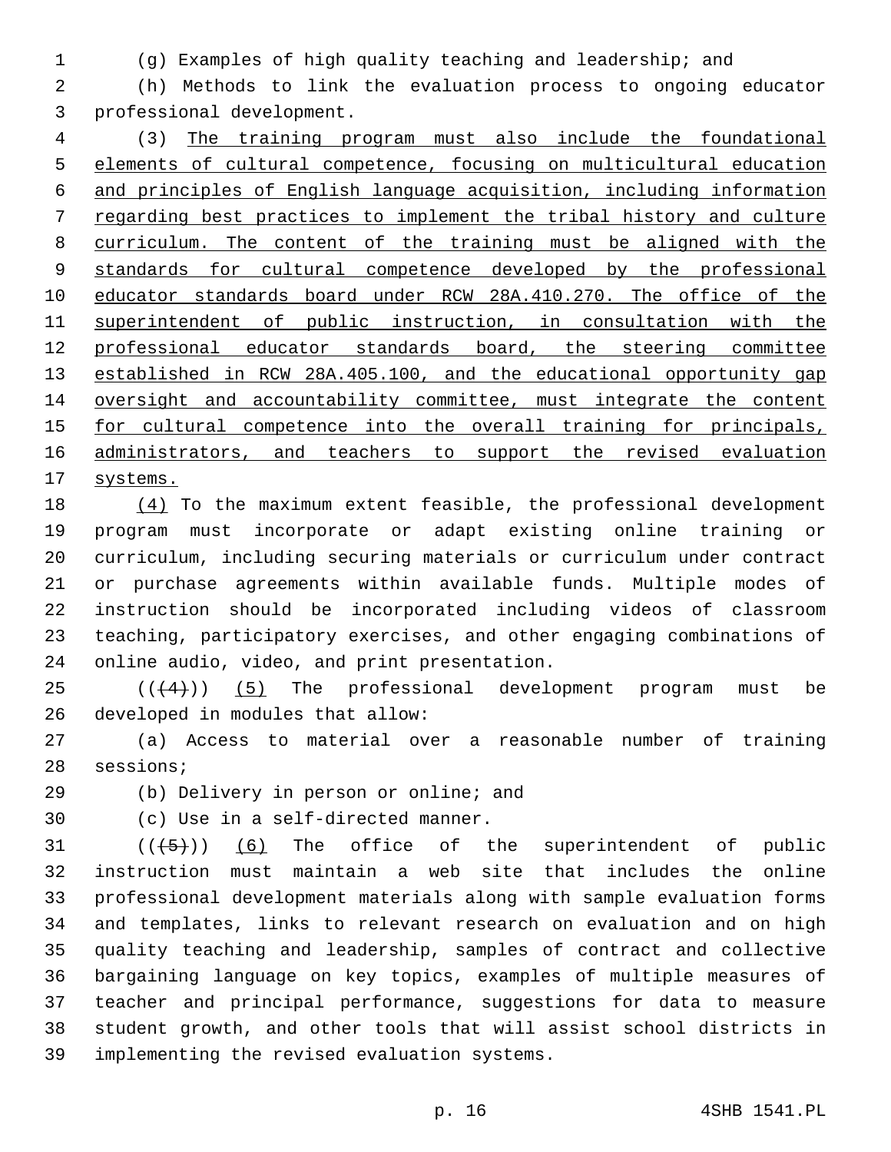(g) Examples of high quality teaching and leadership; and

 (h) Methods to link the evaluation process to ongoing educator 3 professional development.

 (3) The training program must also include the foundational elements of cultural competence, focusing on multicultural education and principles of English language acquisition, including information regarding best practices to implement the tribal history and culture curriculum. The content of the training must be aligned with the standards for cultural competence developed by the professional educator standards board under RCW 28A.410.270. The office of the superintendent of public instruction, in consultation with the professional educator standards board, the steering committee 13 established in RCW 28A.405.100, and the educational opportunity gap 14 oversight and accountability committee, must integrate the content 15 for cultural competence into the overall training for principals, administrators, and teachers to support the revised evaluation 17 systems.

 (4) To the maximum extent feasible, the professional development program must incorporate or adapt existing online training or curriculum, including securing materials or curriculum under contract or purchase agreements within available funds. Multiple modes of instruction should be incorporated including videos of classroom teaching, participatory exercises, and other engaging combinations of 24 online audio, video, and print presentation.

  $((+4))$   $(5)$  The professional development program must be 26 developed in modules that allow:

 (a) Access to material over a reasonable number of training 28 sessions;

(b) Delivery in person or online; and

30 (c) Use in a self-directed manner.

  $((+5+))$   $(6)$  The office of the superintendent of public instruction must maintain a web site that includes the online professional development materials along with sample evaluation forms and templates, links to relevant research on evaluation and on high quality teaching and leadership, samples of contract and collective bargaining language on key topics, examples of multiple measures of teacher and principal performance, suggestions for data to measure student growth, and other tools that will assist school districts in implementing the revised evaluation systems.39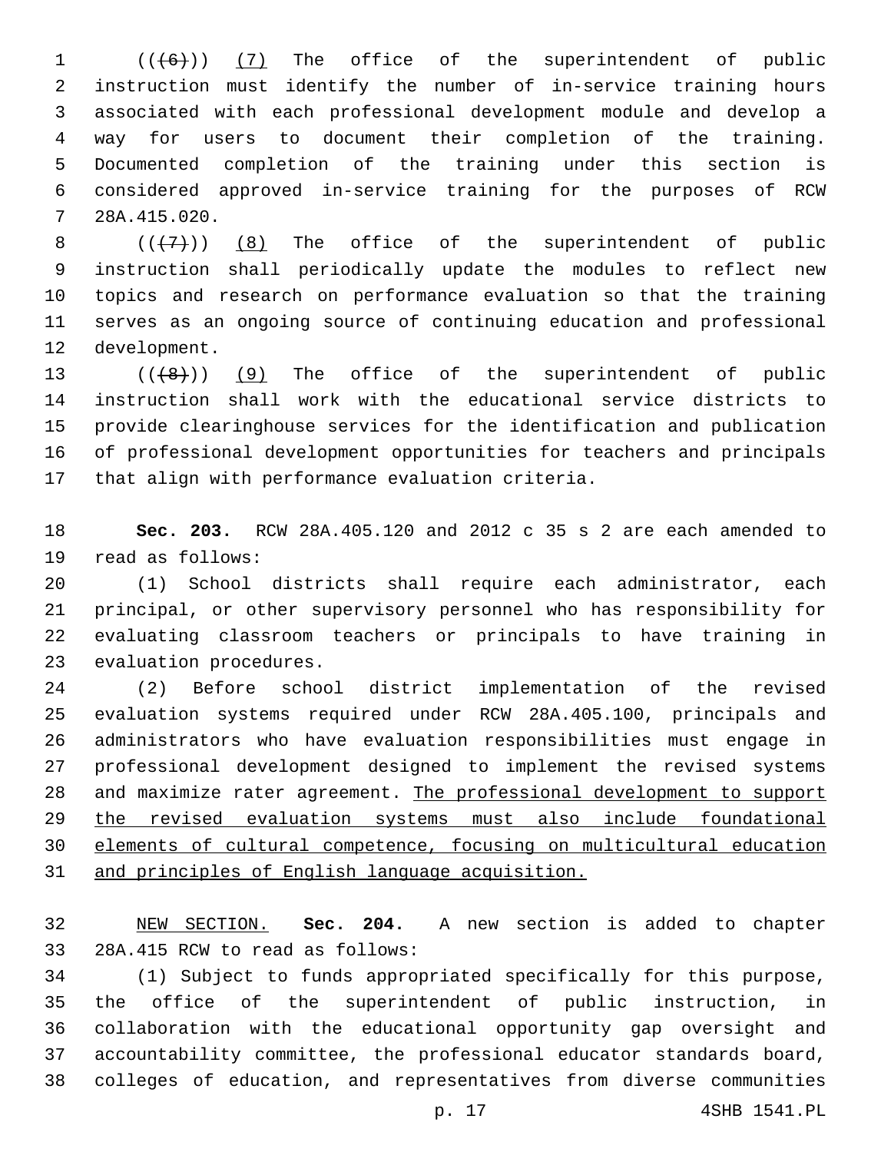$((+6))$  (7) The office of the superintendent of public instruction must identify the number of in-service training hours associated with each professional development module and develop a way for users to document their completion of the training. Documented completion of the training under this section is considered approved in-service training for the purposes of RCW 28A.415.020.7

 $((+7))$  (8) The office of the superintendent of public instruction shall periodically update the modules to reflect new topics and research on performance evaluation so that the training serves as an ongoing source of continuing education and professional 12 development.

13 (( $(48)$ )) (9) The office of the superintendent of public instruction shall work with the educational service districts to provide clearinghouse services for the identification and publication of professional development opportunities for teachers and principals 17 that align with performance evaluation criteria.

 **Sec. 203.** RCW 28A.405.120 and 2012 c 35 s 2 are each amended to 19 read as follows:

 (1) School districts shall require each administrator, each principal, or other supervisory personnel who has responsibility for evaluating classroom teachers or principals to have training in 23 evaluation procedures.

 (2) Before school district implementation of the revised evaluation systems required under RCW 28A.405.100, principals and administrators who have evaluation responsibilities must engage in professional development designed to implement the revised systems and maximize rater agreement. The professional development to support the revised evaluation systems must also include foundational elements of cultural competence, focusing on multicultural education and principles of English language acquisition.

 NEW SECTION. **Sec. 204.** A new section is added to chapter 33 28A.415 RCW to read as follows:

 (1) Subject to funds appropriated specifically for this purpose, the office of the superintendent of public instruction, in collaboration with the educational opportunity gap oversight and accountability committee, the professional educator standards board, colleges of education, and representatives from diverse communities

p. 17 4SHB 1541.PL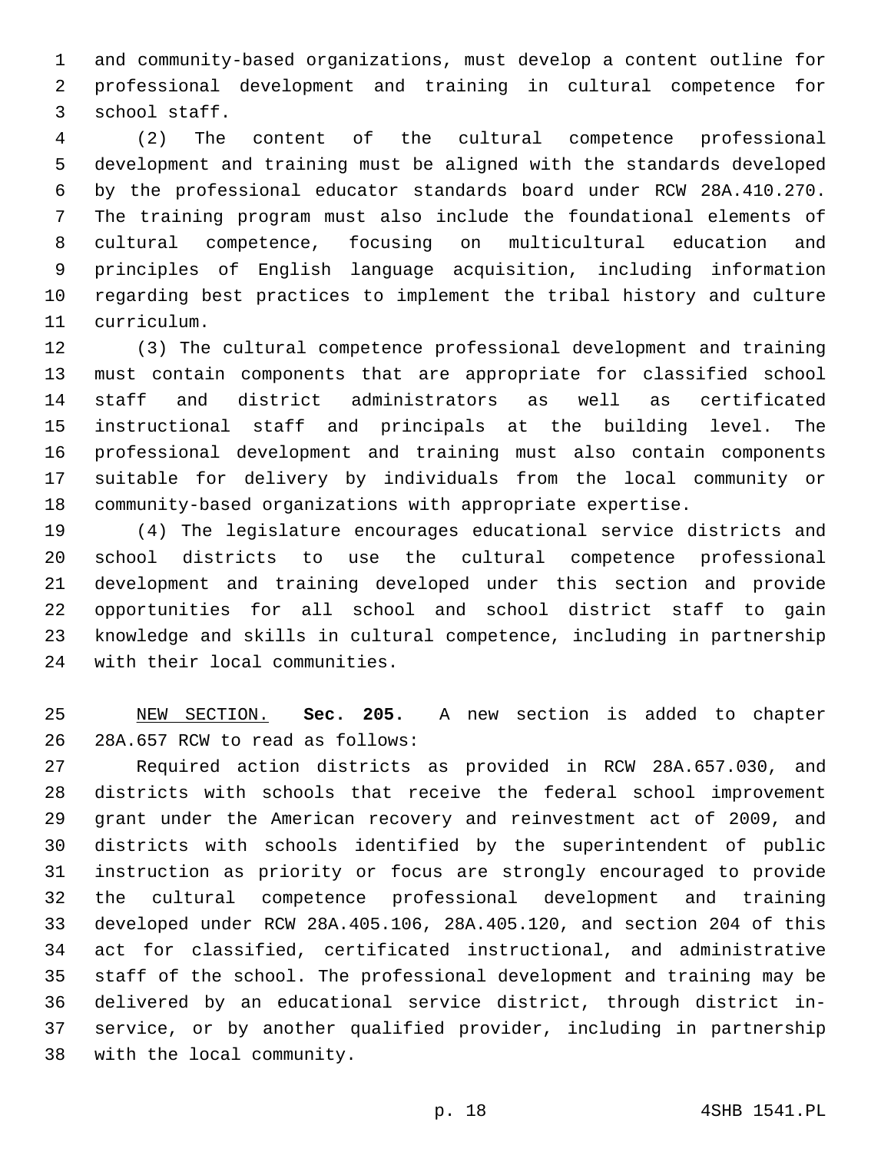and community-based organizations, must develop a content outline for professional development and training in cultural competence for 3 school staff.

 (2) The content of the cultural competence professional development and training must be aligned with the standards developed by the professional educator standards board under RCW 28A.410.270. The training program must also include the foundational elements of cultural competence, focusing on multicultural education and principles of English language acquisition, including information regarding best practices to implement the tribal history and culture curriculum.11

 (3) The cultural competence professional development and training must contain components that are appropriate for classified school staff and district administrators as well as certificated instructional staff and principals at the building level. The professional development and training must also contain components suitable for delivery by individuals from the local community or community-based organizations with appropriate expertise.

 (4) The legislature encourages educational service districts and school districts to use the cultural competence professional development and training developed under this section and provide opportunities for all school and school district staff to gain knowledge and skills in cultural competence, including in partnership 24 with their local communities.

 NEW SECTION. **Sec. 205.** A new section is added to chapter 26 28A.657 RCW to read as follows:

 Required action districts as provided in RCW 28A.657.030, and districts with schools that receive the federal school improvement grant under the American recovery and reinvestment act of 2009, and districts with schools identified by the superintendent of public instruction as priority or focus are strongly encouraged to provide the cultural competence professional development and training developed under RCW 28A.405.106, 28A.405.120, and section 204 of this act for classified, certificated instructional, and administrative staff of the school. The professional development and training may be delivered by an educational service district, through district in- service, or by another qualified provider, including in partnership 38 with the local community.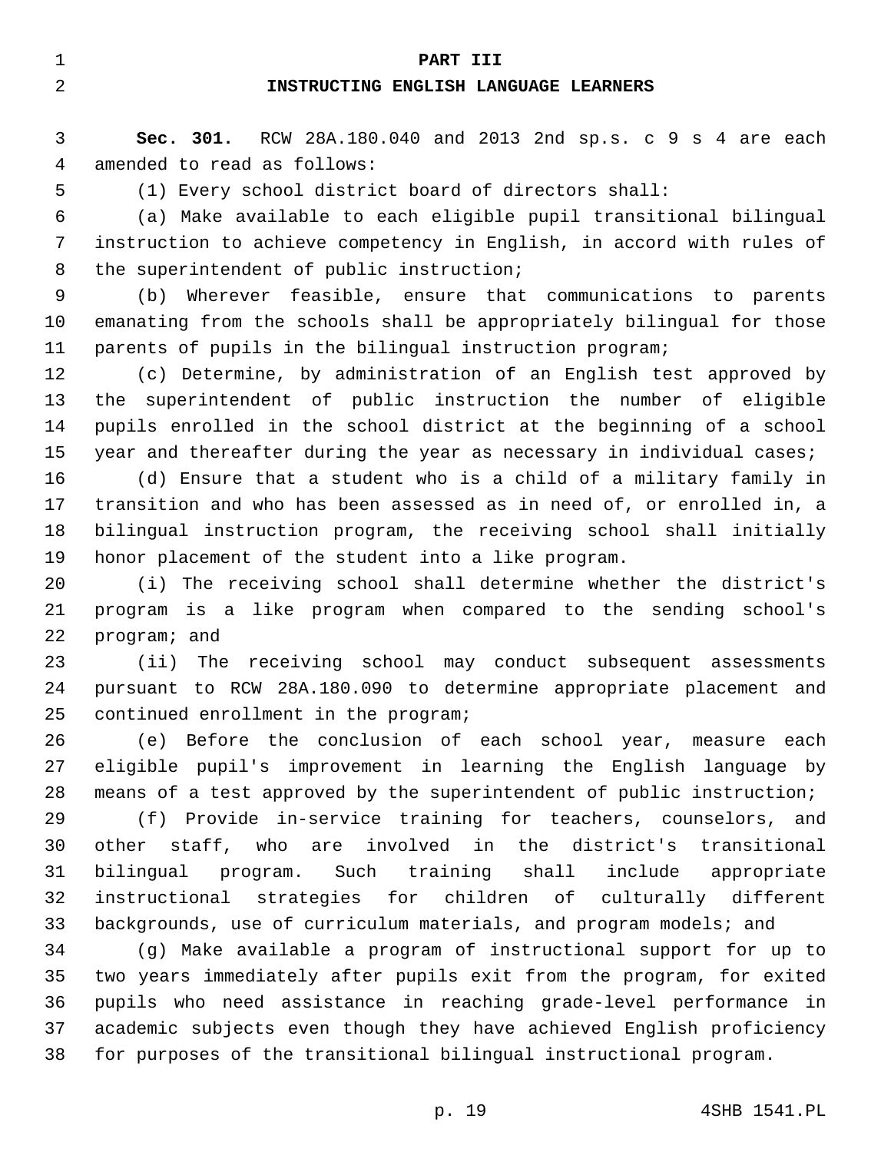#### **PART III**

## **INSTRUCTING ENGLISH LANGUAGE LEARNERS**

 **Sec. 301.** RCW 28A.180.040 and 2013 2nd sp.s. c 9 s 4 are each 4 amended to read as follows:

(1) Every school district board of directors shall:

 (a) Make available to each eligible pupil transitional bilingual instruction to achieve competency in English, in accord with rules of 8 the superintendent of public instruction;

 (b) Wherever feasible, ensure that communications to parents emanating from the schools shall be appropriately bilingual for those parents of pupils in the bilingual instruction program;

 (c) Determine, by administration of an English test approved by the superintendent of public instruction the number of eligible pupils enrolled in the school district at the beginning of a school year and thereafter during the year as necessary in individual cases;

 (d) Ensure that a student who is a child of a military family in transition and who has been assessed as in need of, or enrolled in, a bilingual instruction program, the receiving school shall initially honor placement of the student into a like program.

 (i) The receiving school shall determine whether the district's program is a like program when compared to the sending school's 22 program; and

 (ii) The receiving school may conduct subsequent assessments pursuant to RCW 28A.180.090 to determine appropriate placement and 25 continued enrollment in the program;

 (e) Before the conclusion of each school year, measure each eligible pupil's improvement in learning the English language by means of a test approved by the superintendent of public instruction;

 (f) Provide in-service training for teachers, counselors, and other staff, who are involved in the district's transitional bilingual program. Such training shall include appropriate instructional strategies for children of culturally different 33 backgrounds, use of curriculum materials, and program models; and

 (g) Make available a program of instructional support for up to two years immediately after pupils exit from the program, for exited pupils who need assistance in reaching grade-level performance in academic subjects even though they have achieved English proficiency for purposes of the transitional bilingual instructional program.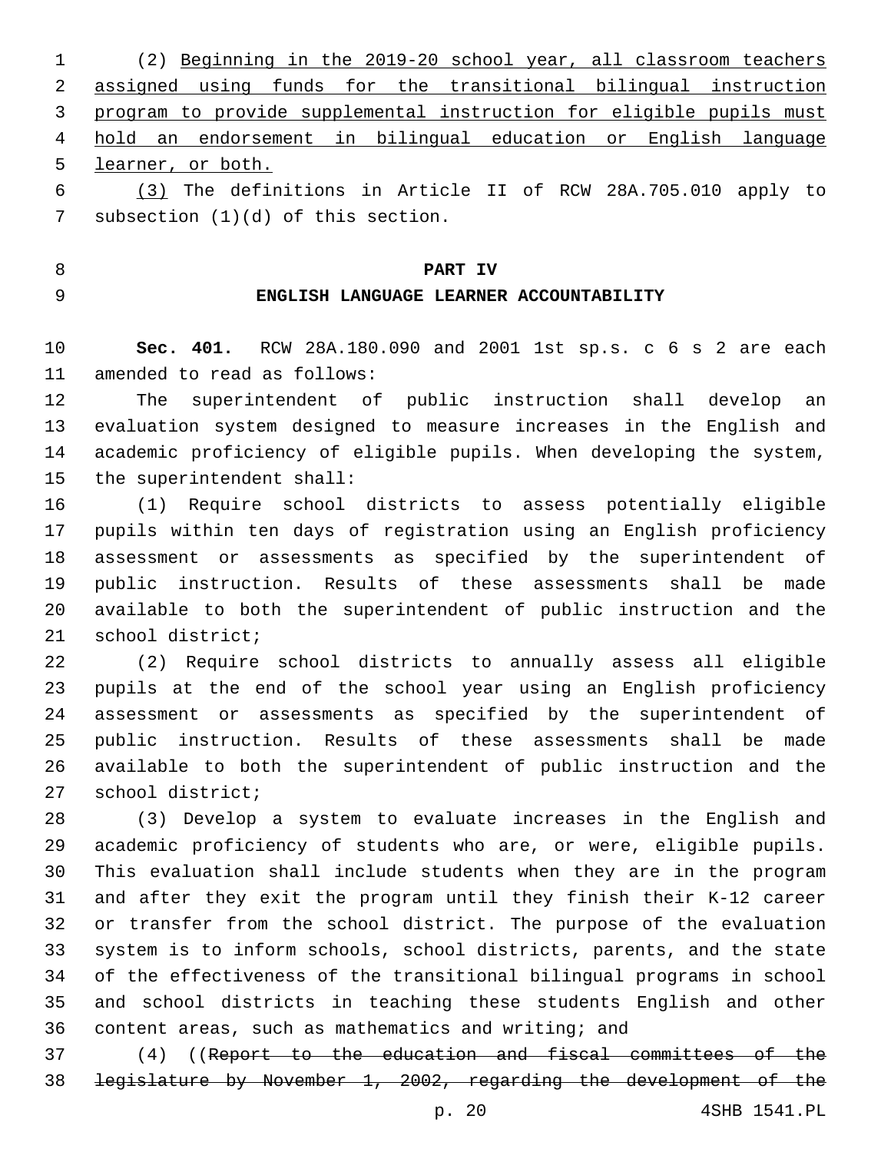(2) Beginning in the 2019-20 school year, all classroom teachers assigned using funds for the transitional bilingual instruction program to provide supplemental instruction for eligible pupils must hold an endorsement in bilingual education or English language learner, or both.

 (3) The definitions in Article II of RCW 28A.705.010 apply to 7 subsection  $(1)(d)$  of this section.

**PART IV**

## **ENGLISH LANGUAGE LEARNER ACCOUNTABILITY**

 **Sec. 401.** RCW 28A.180.090 and 2001 1st sp.s. c 6 s 2 are each 11 amended to read as follows:

 The superintendent of public instruction shall develop an evaluation system designed to measure increases in the English and academic proficiency of eligible pupils. When developing the system, 15 the superintendent shall:

 (1) Require school districts to assess potentially eligible pupils within ten days of registration using an English proficiency assessment or assessments as specified by the superintendent of public instruction. Results of these assessments shall be made available to both the superintendent of public instruction and the 21 school district;

 (2) Require school districts to annually assess all eligible pupils at the end of the school year using an English proficiency assessment or assessments as specified by the superintendent of public instruction. Results of these assessments shall be made available to both the superintendent of public instruction and the 27 school district;

 (3) Develop a system to evaluate increases in the English and academic proficiency of students who are, or were, eligible pupils. This evaluation shall include students when they are in the program and after they exit the program until they finish their K-12 career or transfer from the school district. The purpose of the evaluation system is to inform schools, school districts, parents, and the state of the effectiveness of the transitional bilingual programs in school and school districts in teaching these students English and other content areas, such as mathematics and writing; and

 (4) ((Report to the education and fiscal committees of the legislature by November 1, 2002, regarding the development of the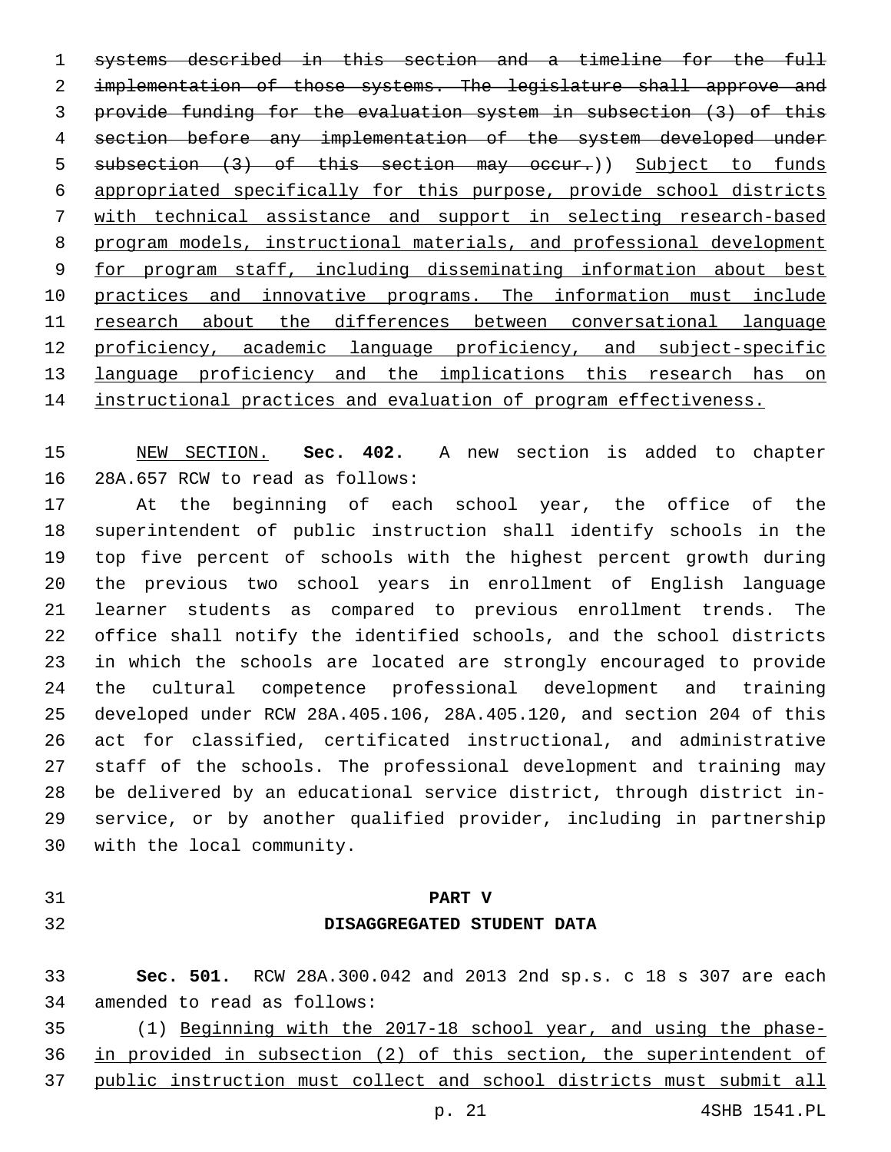systems described in this section and a timeline for the full 2 implementation of those systems. The legislature shall approve and provide funding for the evaluation system in subsection (3) of this section before any implementation of the system developed under 5 subsection (3) of this section may occur.)) Subject to funds appropriated specifically for this purpose, provide school districts with technical assistance and support in selecting research-based program models, instructional materials, and professional development for program staff, including disseminating information about best practices and innovative programs. The information must include research about the differences between conversational language proficiency, academic language proficiency, and subject-specific language proficiency and the implications this research has on instructional practices and evaluation of program effectiveness.

 NEW SECTION. **Sec. 402.** A new section is added to chapter 16 28A.657 RCW to read as follows:

 At the beginning of each school year, the office of the superintendent of public instruction shall identify schools in the top five percent of schools with the highest percent growth during the previous two school years in enrollment of English language learner students as compared to previous enrollment trends. The office shall notify the identified schools, and the school districts in which the schools are located are strongly encouraged to provide the cultural competence professional development and training developed under RCW 28A.405.106, 28A.405.120, and section 204 of this act for classified, certificated instructional, and administrative staff of the schools. The professional development and training may be delivered by an educational service district, through district in- service, or by another qualified provider, including in partnership 30 with the local community.

- 
- 

## **PART V DISAGGREGATED STUDENT DATA**

 **Sec. 501.** RCW 28A.300.042 and 2013 2nd sp.s. c 18 s 307 are each 34 amended to read as follows:

 (1) Beginning with the 2017-18 school year, and using the phase-in provided in subsection (2) of this section, the superintendent of

public instruction must collect and school districts must submit all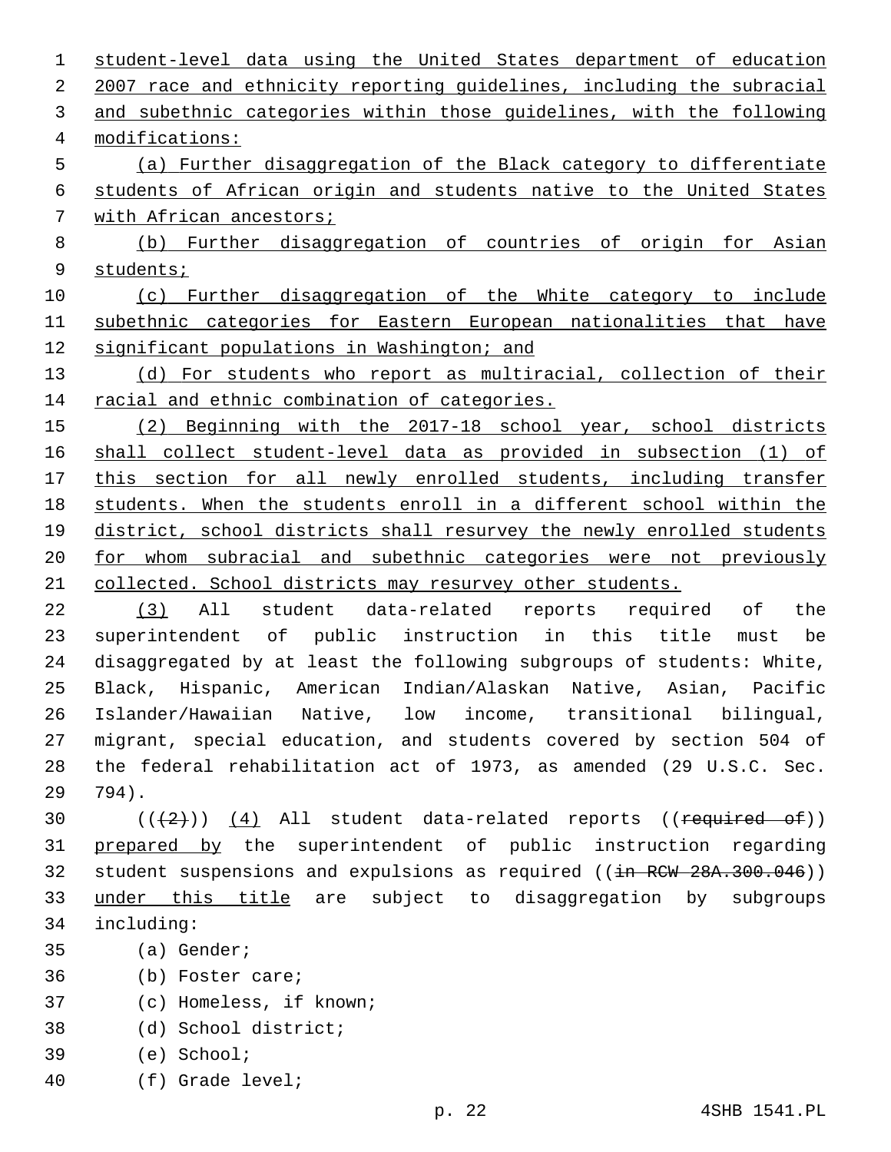student-level data using the United States department of education 2007 race and ethnicity reporting guidelines, including the subracial and subethnic categories within those guidelines, with the following modifications:4 (a) Further disaggregation of the Black category to differentiate students of African origin and students native to the United States with African ancestors; (b) Further disaggregation of countries of origin for Asian students; (c) Further disaggregation of the White category to include subethnic categories for Eastern European nationalities that have significant populations in Washington; and (d) For students who report as multiracial, collection of their 14 racial and ethnic combination of categories. 15 (2) Beginning with the 2017-18 school year, school districts shall collect student-level data as provided in subsection (1) of this section for all newly enrolled students, including transfer students. When the students enroll in a different school within the 19 district, school districts shall resurvey the newly enrolled students for whom subracial and subethnic categories were not previously collected. School districts may resurvey other students. (3) All student data-related reports required of the superintendent of public instruction in this title must be disaggregated by at least the following subgroups of students: White, Black, Hispanic, American Indian/Alaskan Native, Asian, Pacific Islander/Hawaiian Native, low income, transitional bilingual, migrant, special education, and students covered by section 504 of the federal rehabilitation act of 1973, as amended (29 U.S.C. Sec. 794).29  $((+2+))$   $(4)$  All student data-related reports ((required of)) prepared by the superintendent of public instruction regarding 32 student suspensions and expulsions as required ((in RCW 28A.300.046)) under this title are subject to disaggregation by subgroups including:34 35 (a) Gender; 36 (b) Foster care; (c) Homeless, if known;37

- (d) School district;38
- (e) School;39
- 40 (f) Grade level;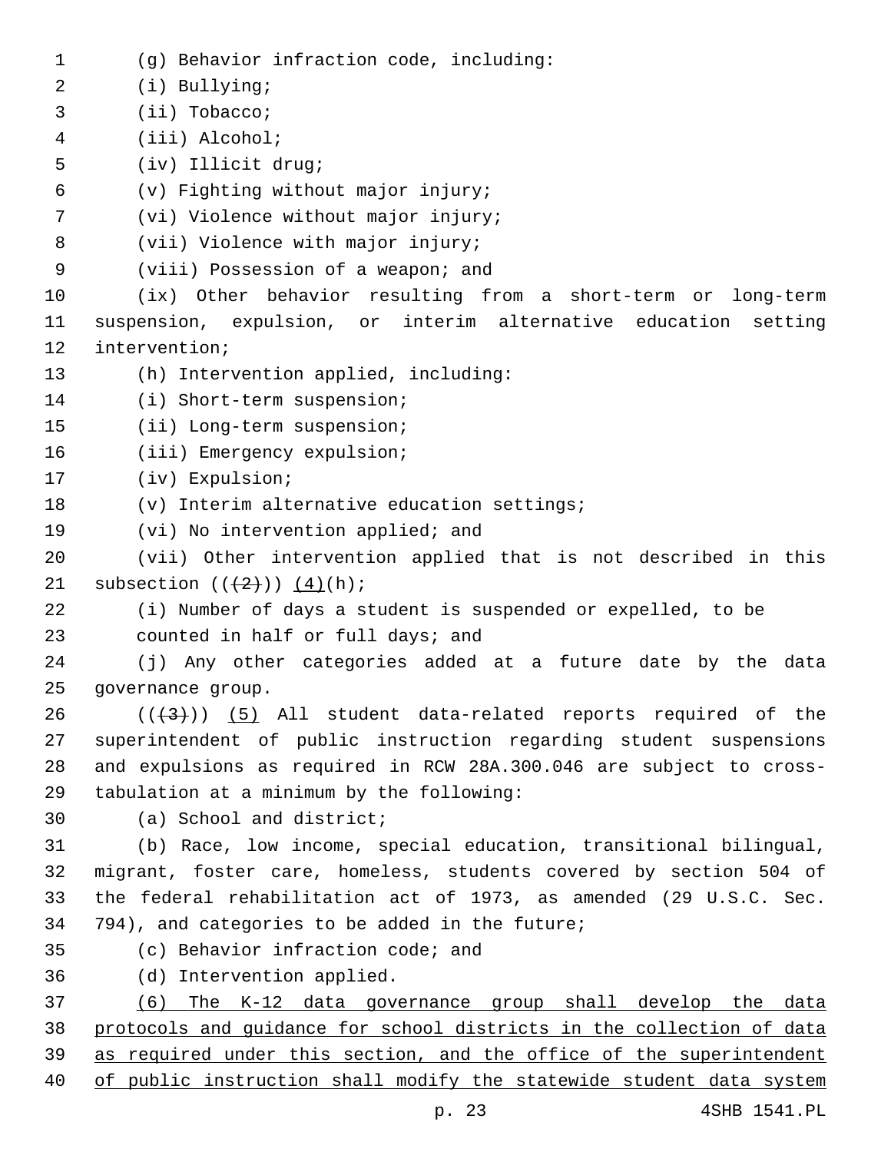(g) Behavior infraction code, including:1 2 (i) Bullying; (ii) Tobacco;3 (iii) Alcohol;4 5 (iv) Illicit drug; (v) Fighting without major injury;6 7 (vi) Violence without major injury; 8 (vii) Violence with major injury; 9 (viii) Possession of a weapon; and 10 (ix) Other behavior resulting from a short-term or long-term 11 suspension, expulsion, or interim alternative education setting 12 intervention; 13 (h) Intervention applied, including: 14 (i) Short-term suspension; 15 (ii) Long-term suspension; 16 (iii) Emergency expulsion; 17 (iv) Expulsion; 18 (v) Interim alternative education settings; 19 (vi) No intervention applied; and 20 (vii) Other intervention applied that is not described in this 21 subsection  $((+2))$   $(4)(h)$ ; 22 (i) Number of days a student is suspended or expelled, to be 23 counted in half or full days; and 24 (j) Any other categories added at a future date by the data 25 governance group.  $26$  ( $(\frac{43}{})$ ) (5) All student data-related reports required of the 27 superintendent of public instruction regarding student suspensions 28 and expulsions as required in RCW 28A.300.046 are subject to cross-29 tabulation at a minimum by the following: 30 (a) School and district; 31 (b) Race, low income, special education, transitional bilingual, 32 migrant, foster care, homeless, students covered by section 504 of 33 the federal rehabilitation act of 1973, as amended (29 U.S.C. Sec. 34 794), and categories to be added in the future; 35 (c) Behavior infraction code; and (d) Intervention applied.36 37 (6) The K-12 data governance group shall develop the data 38 protocols and guidance for school districts in the collection of data 39 as required under this section, and the office of the superintendent 40 of public instruction shall modify the statewide student data system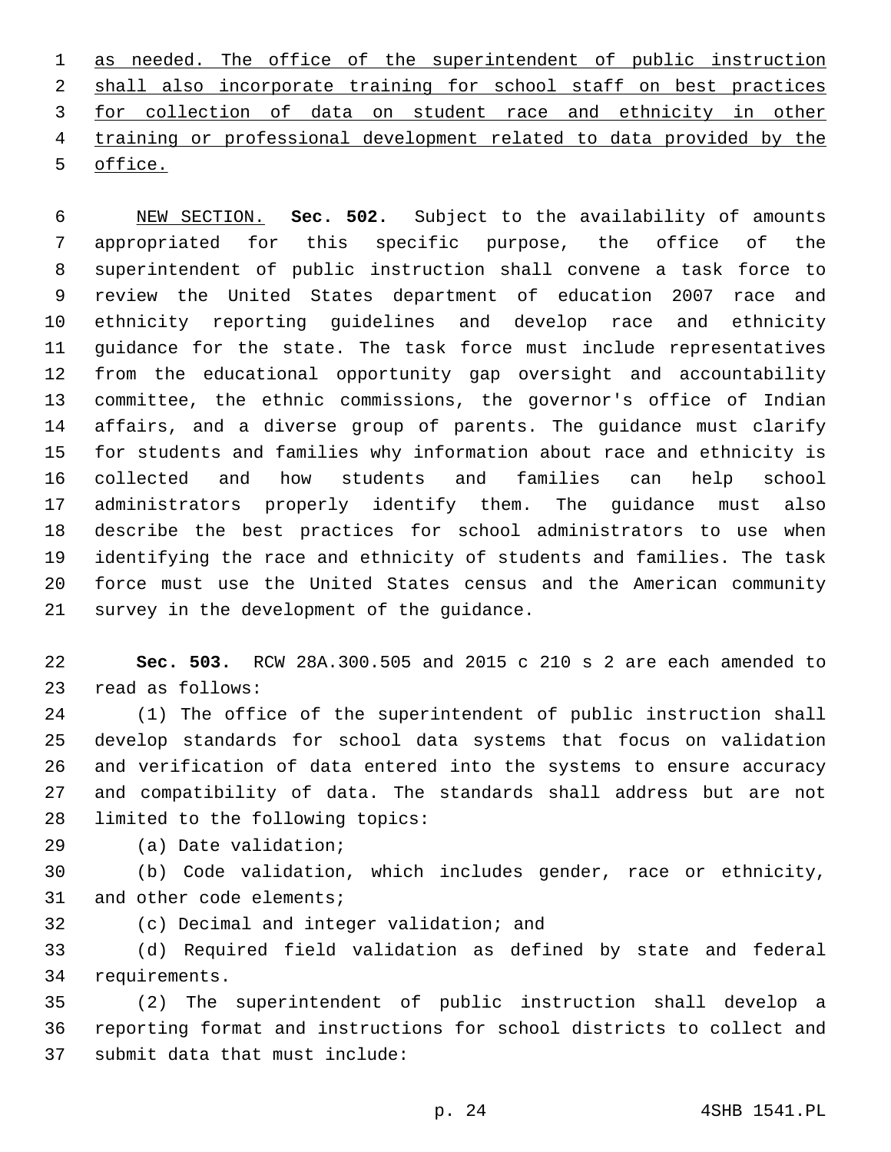as needed. The office of the superintendent of public instruction 2 shall also incorporate training for school staff on best practices for collection of data on student race and ethnicity in other training or professional development related to data provided by the 5 office.

 NEW SECTION. **Sec. 502.** Subject to the availability of amounts appropriated for this specific purpose, the office of the superintendent of public instruction shall convene a task force to review the United States department of education 2007 race and ethnicity reporting guidelines and develop race and ethnicity guidance for the state. The task force must include representatives from the educational opportunity gap oversight and accountability committee, the ethnic commissions, the governor's office of Indian affairs, and a diverse group of parents. The guidance must clarify for students and families why information about race and ethnicity is collected and how students and families can help school administrators properly identify them. The guidance must also describe the best practices for school administrators to use when identifying the race and ethnicity of students and families. The task force must use the United States census and the American community survey in the development of the guidance.

 **Sec. 503.** RCW 28A.300.505 and 2015 c 210 s 2 are each amended to read as follows:23

 (1) The office of the superintendent of public instruction shall develop standards for school data systems that focus on validation and verification of data entered into the systems to ensure accuracy and compatibility of data. The standards shall address but are not 28 limited to the following topics:

29 (a) Date validation;

 (b) Code validation, which includes gender, race or ethnicity, 31 and other code elements;

32 (c) Decimal and integer validation; and

 (d) Required field validation as defined by state and federal 34 requirements.

 (2) The superintendent of public instruction shall develop a reporting format and instructions for school districts to collect and 37 submit data that must include: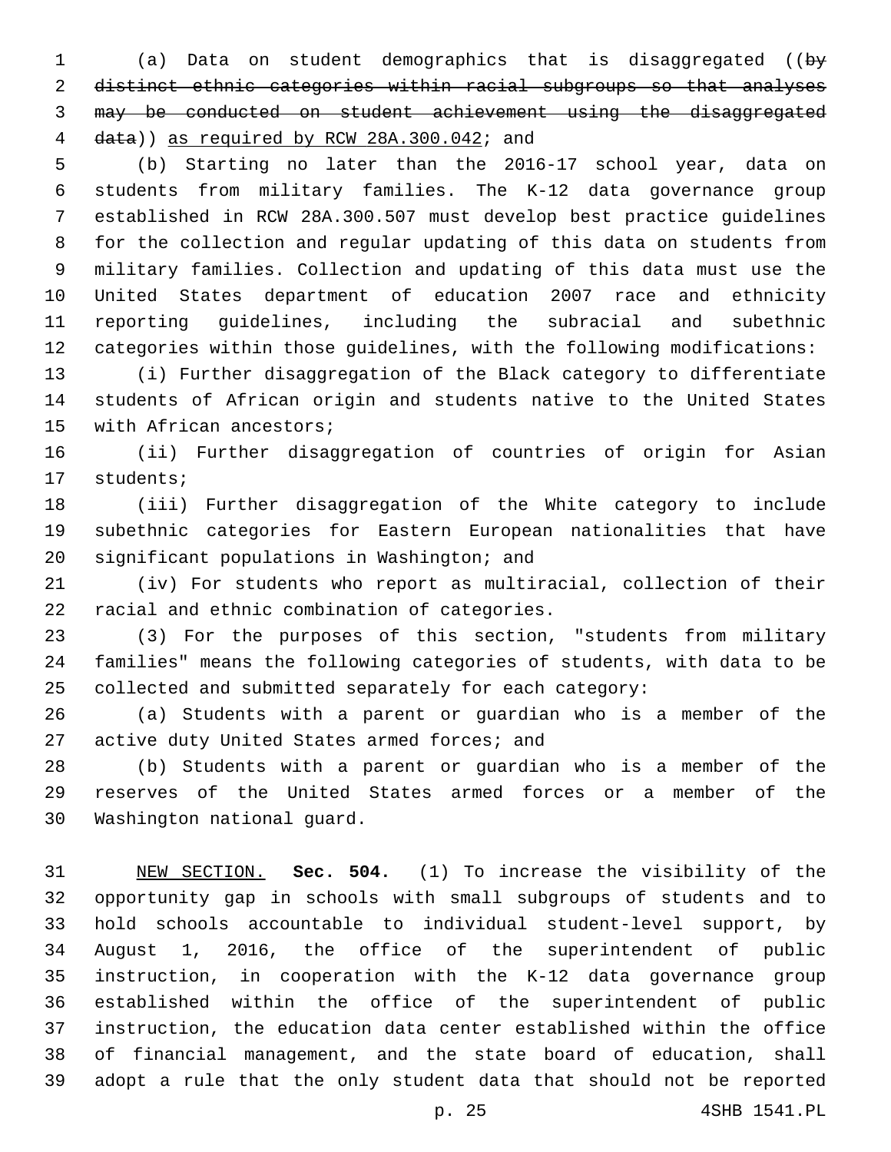(a) Data on student demographics that is disaggregated ((by distinct ethnic categories within racial subgroups so that analyses may be conducted on student achievement using the disaggregated 4 data)) as required by RCW 28A.300.042; and

 (b) Starting no later than the 2016-17 school year, data on students from military families. The K-12 data governance group established in RCW 28A.300.507 must develop best practice guidelines for the collection and regular updating of this data on students from military families. Collection and updating of this data must use the United States department of education 2007 race and ethnicity reporting guidelines, including the subracial and subethnic categories within those guidelines, with the following modifications:

 (i) Further disaggregation of the Black category to differentiate students of African origin and students native to the United States 15 with African ancestors;

 (ii) Further disaggregation of countries of origin for Asian 17 students;

 (iii) Further disaggregation of the White category to include subethnic categories for Eastern European nationalities that have 20 significant populations in Washington; and

 (iv) For students who report as multiracial, collection of their 22 racial and ethnic combination of categories.

 (3) For the purposes of this section, "students from military families" means the following categories of students, with data to be collected and submitted separately for each category:

 (a) Students with a parent or guardian who is a member of the 27 active duty United States armed forces; and

 (b) Students with a parent or guardian who is a member of the reserves of the United States armed forces or a member of the 30 Washington national guard.

 NEW SECTION. **Sec. 504.** (1) To increase the visibility of the opportunity gap in schools with small subgroups of students and to hold schools accountable to individual student-level support, by August 1, 2016, the office of the superintendent of public instruction, in cooperation with the K-12 data governance group established within the office of the superintendent of public instruction, the education data center established within the office of financial management, and the state board of education, shall adopt a rule that the only student data that should not be reported

p. 25 4SHB 1541.PL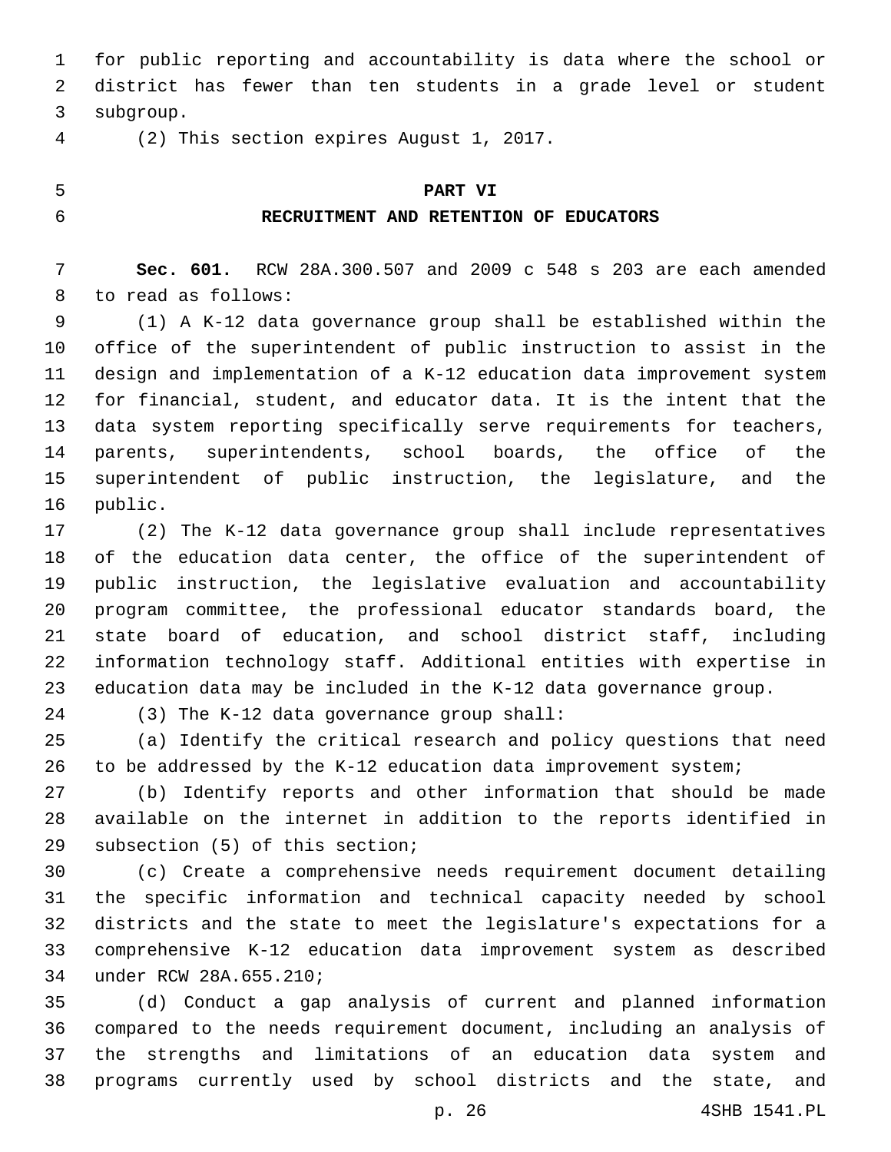for public reporting and accountability is data where the school or district has fewer than ten students in a grade level or student 3 subgroup.

(2) This section expires August 1, 2017.4

## **PART VI**

## **RECRUITMENT AND RETENTION OF EDUCATORS**

 **Sec. 601.** RCW 28A.300.507 and 2009 c 548 s 203 are each amended 8 to read as follows:

 (1) A K-12 data governance group shall be established within the office of the superintendent of public instruction to assist in the design and implementation of a K-12 education data improvement system for financial, student, and educator data. It is the intent that the data system reporting specifically serve requirements for teachers, parents, superintendents, school boards, the office of the superintendent of public instruction, the legislature, and the 16 public.

 (2) The K-12 data governance group shall include representatives of the education data center, the office of the superintendent of public instruction, the legislative evaluation and accountability program committee, the professional educator standards board, the state board of education, and school district staff, including information technology staff. Additional entities with expertise in education data may be included in the K-12 data governance group.

(3) The K-12 data governance group shall:

 (a) Identify the critical research and policy questions that need to be addressed by the K-12 education data improvement system;

 (b) Identify reports and other information that should be made available on the internet in addition to the reports identified in 29 subsection (5) of this section;

 (c) Create a comprehensive needs requirement document detailing the specific information and technical capacity needed by school districts and the state to meet the legislature's expectations for a comprehensive K-12 education data improvement system as described under RCW 28A.655.210;34

 (d) Conduct a gap analysis of current and planned information compared to the needs requirement document, including an analysis of the strengths and limitations of an education data system and programs currently used by school districts and the state, and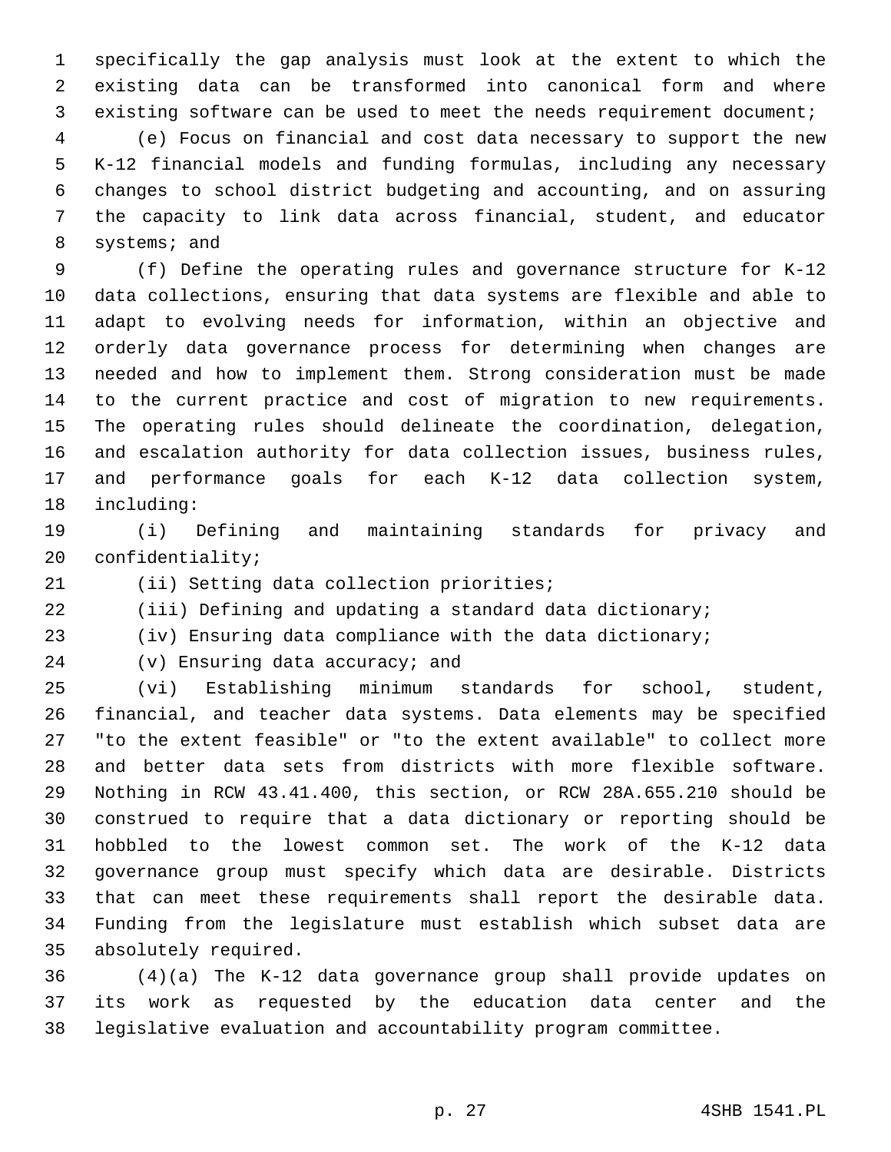specifically the gap analysis must look at the extent to which the existing data can be transformed into canonical form and where existing software can be used to meet the needs requirement document;

 (e) Focus on financial and cost data necessary to support the new K-12 financial models and funding formulas, including any necessary changes to school district budgeting and accounting, and on assuring the capacity to link data across financial, student, and educator 8 systems; and

 (f) Define the operating rules and governance structure for K-12 data collections, ensuring that data systems are flexible and able to adapt to evolving needs for information, within an objective and orderly data governance process for determining when changes are needed and how to implement them. Strong consideration must be made to the current practice and cost of migration to new requirements. The operating rules should delineate the coordination, delegation, and escalation authority for data collection issues, business rules, and performance goals for each K-12 data collection system, 18 including:

 (i) Defining and maintaining standards for privacy and 20 confidentiality;

21 (ii) Setting data collection priorities;

(iii) Defining and updating a standard data dictionary;

(iv) Ensuring data compliance with the data dictionary;

(v) Ensuring data accuracy; and

 (vi) Establishing minimum standards for school, student, financial, and teacher data systems. Data elements may be specified "to the extent feasible" or "to the extent available" to collect more and better data sets from districts with more flexible software. Nothing in RCW 43.41.400, this section, or RCW 28A.655.210 should be construed to require that a data dictionary or reporting should be hobbled to the lowest common set. The work of the K-12 data governance group must specify which data are desirable. Districts that can meet these requirements shall report the desirable data. Funding from the legislature must establish which subset data are 35 absolutely required.

 (4)(a) The K-12 data governance group shall provide updates on its work as requested by the education data center and the legislative evaluation and accountability program committee.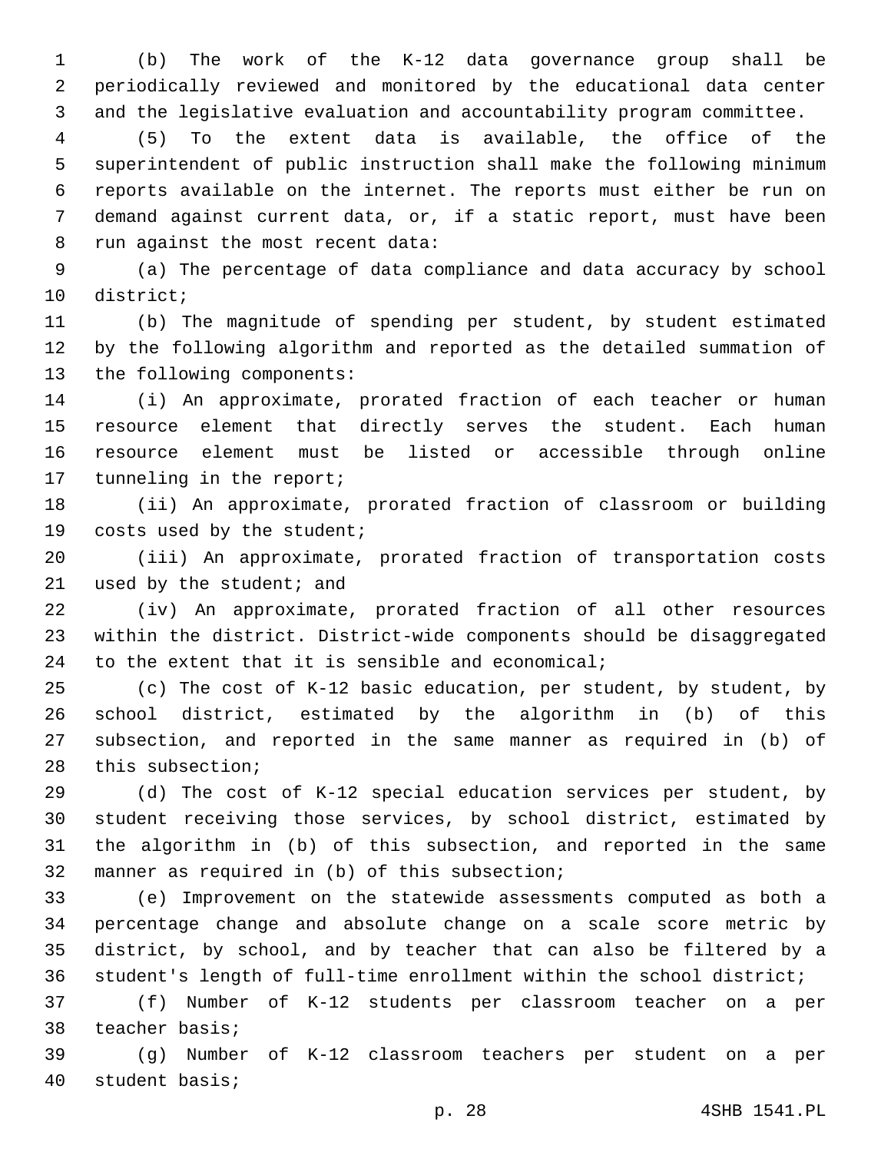(b) The work of the K-12 data governance group shall be periodically reviewed and monitored by the educational data center and the legislative evaluation and accountability program committee.

 (5) To the extent data is available, the office of the superintendent of public instruction shall make the following minimum reports available on the internet. The reports must either be run on demand against current data, or, if a static report, must have been 8 run against the most recent data:

 (a) The percentage of data compliance and data accuracy by school 10 district;

 (b) The magnitude of spending per student, by student estimated by the following algorithm and reported as the detailed summation of 13 the following components:

 (i) An approximate, prorated fraction of each teacher or human resource element that directly serves the student. Each human resource element must be listed or accessible through online 17 tunneling in the report;

 (ii) An approximate, prorated fraction of classroom or building 19 costs used by the student;

 (iii) An approximate, prorated fraction of transportation costs 21 used by the student; and

 (iv) An approximate, prorated fraction of all other resources within the district. District-wide components should be disaggregated 24 to the extent that it is sensible and economical;

 (c) The cost of K-12 basic education, per student, by student, by school district, estimated by the algorithm in (b) of this subsection, and reported in the same manner as required in (b) of 28 this subsection;

 (d) The cost of K-12 special education services per student, by student receiving those services, by school district, estimated by the algorithm in (b) of this subsection, and reported in the same 32 manner as required in (b) of this subsection;

 (e) Improvement on the statewide assessments computed as both a percentage change and absolute change on a scale score metric by district, by school, and by teacher that can also be filtered by a student's length of full-time enrollment within the school district;

 (f) Number of K-12 students per classroom teacher on a per 38 teacher basis;

 (g) Number of K-12 classroom teachers per student on a per 40 student basis;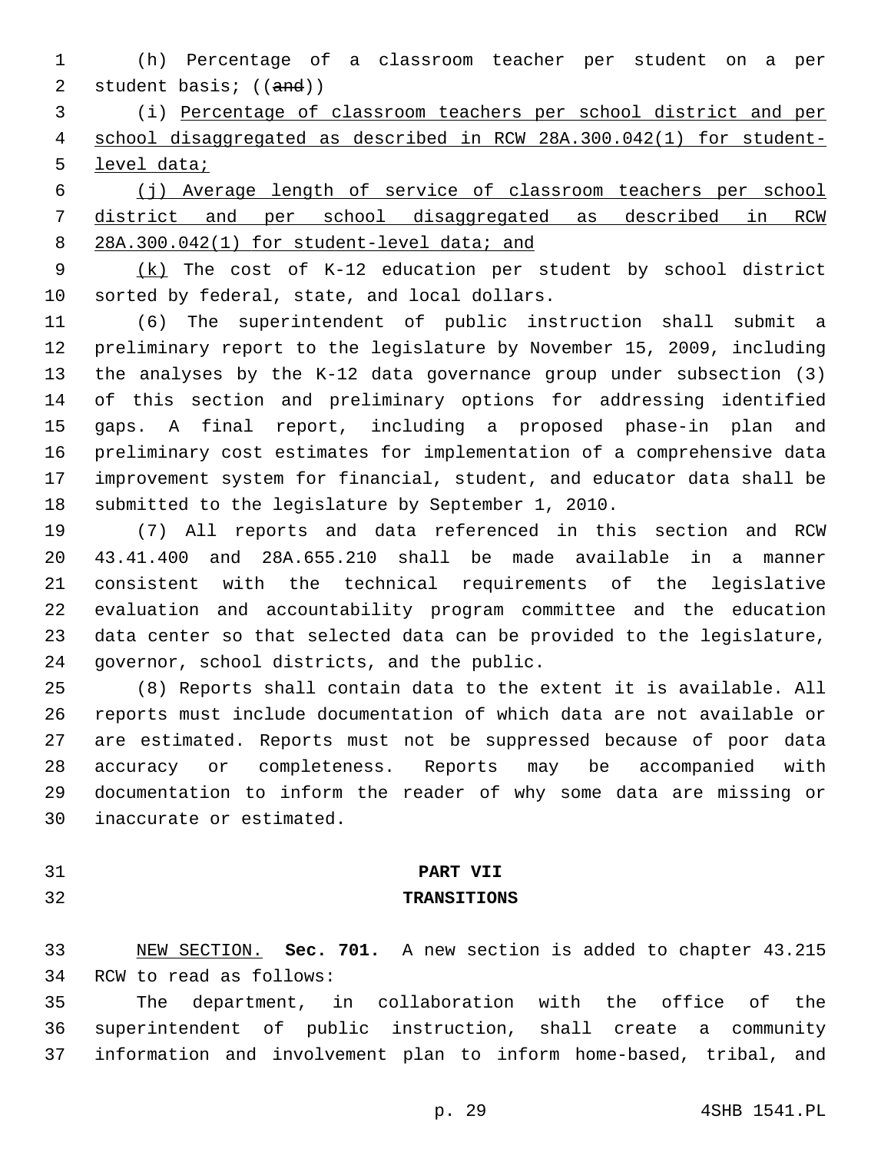(h) Percentage of a classroom teacher per student on a per 2 student basis; ((and))

 (i) Percentage of classroom teachers per school district and per school disaggregated as described in RCW 28A.300.042(1) for student-5 level data;

 (j) Average length of service of classroom teachers per school district and per school disaggregated as described in RCW 8 28A.300.042(1) for student-level data; and

 (k) The cost of K-12 education per student by school district 10 sorted by federal, state, and local dollars.

 (6) The superintendent of public instruction shall submit a preliminary report to the legislature by November 15, 2009, including the analyses by the K-12 data governance group under subsection (3) of this section and preliminary options for addressing identified gaps. A final report, including a proposed phase-in plan and preliminary cost estimates for implementation of a comprehensive data improvement system for financial, student, and educator data shall be submitted to the legislature by September 1, 2010.

 (7) All reports and data referenced in this section and RCW 43.41.400 and 28A.655.210 shall be made available in a manner consistent with the technical requirements of the legislative evaluation and accountability program committee and the education data center so that selected data can be provided to the legislature, 24 governor, school districts, and the public.

 (8) Reports shall contain data to the extent it is available. All reports must include documentation of which data are not available or are estimated. Reports must not be suppressed because of poor data accuracy or completeness. Reports may be accompanied with documentation to inform the reader of why some data are missing or 30 inaccurate or estimated.

# **PART VII**

## **TRANSITIONS**

 NEW SECTION. **Sec. 701.** A new section is added to chapter 43.215 34 RCW to read as follows:

 The department, in collaboration with the office of the superintendent of public instruction, shall create a community information and involvement plan to inform home-based, tribal, and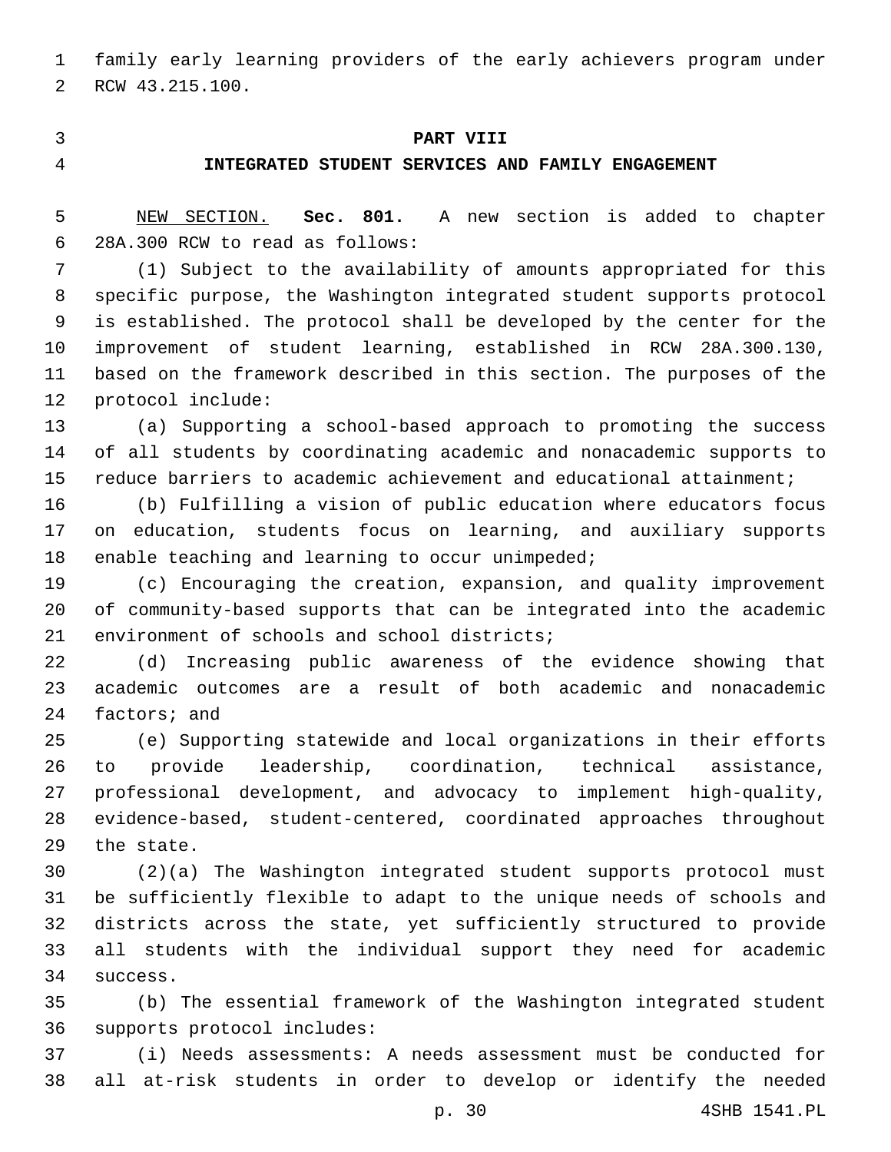family early learning providers of the early achievers program under 2 RCW 43.215.100.

## **PART VIII**

## **INTEGRATED STUDENT SERVICES AND FAMILY ENGAGEMENT**

 NEW SECTION. **Sec. 801.** A new section is added to chapter 28A.300 RCW to read as follows:6

 (1) Subject to the availability of amounts appropriated for this specific purpose, the Washington integrated student supports protocol is established. The protocol shall be developed by the center for the improvement of student learning, established in RCW 28A.300.130, based on the framework described in this section. The purposes of the 12 protocol include:

 (a) Supporting a school-based approach to promoting the success of all students by coordinating academic and nonacademic supports to reduce barriers to academic achievement and educational attainment;

 (b) Fulfilling a vision of public education where educators focus on education, students focus on learning, and auxiliary supports 18 enable teaching and learning to occur unimpeded;

 (c) Encouraging the creation, expansion, and quality improvement of community-based supports that can be integrated into the academic 21 environment of schools and school districts;

 (d) Increasing public awareness of the evidence showing that academic outcomes are a result of both academic and nonacademic 24 factors; and

 (e) Supporting statewide and local organizations in their efforts to provide leadership, coordination, technical assistance, professional development, and advocacy to implement high-quality, evidence-based, student-centered, coordinated approaches throughout 29 the state.

 (2)(a) The Washington integrated student supports protocol must be sufficiently flexible to adapt to the unique needs of schools and districts across the state, yet sufficiently structured to provide all students with the individual support they need for academic 34 success.

 (b) The essential framework of the Washington integrated student 36 supports protocol includes:

 (i) Needs assessments: A needs assessment must be conducted for all at-risk students in order to develop or identify the needed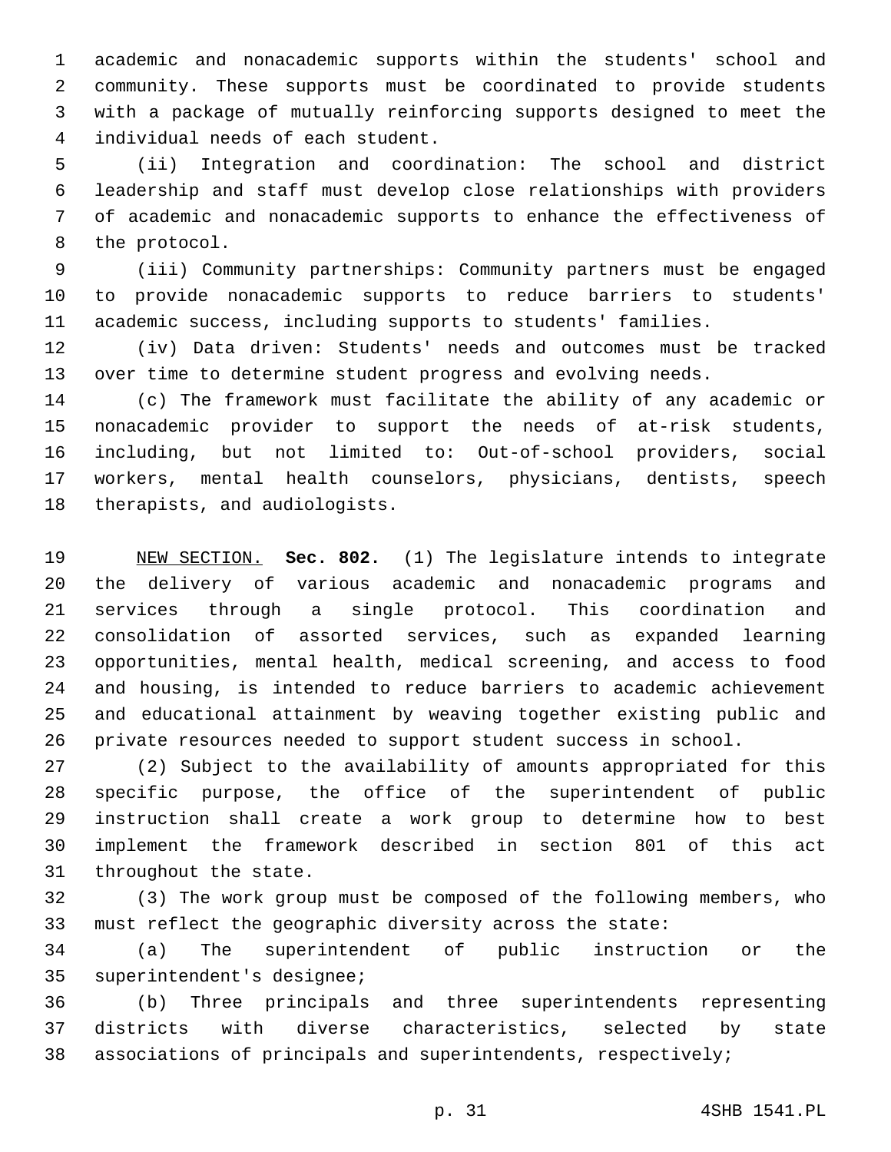academic and nonacademic supports within the students' school and community. These supports must be coordinated to provide students with a package of mutually reinforcing supports designed to meet the 4 individual needs of each student.

 (ii) Integration and coordination: The school and district leadership and staff must develop close relationships with providers of academic and nonacademic supports to enhance the effectiveness of 8 the protocol.

 (iii) Community partnerships: Community partners must be engaged to provide nonacademic supports to reduce barriers to students' academic success, including supports to students' families.

 (iv) Data driven: Students' needs and outcomes must be tracked over time to determine student progress and evolving needs.

 (c) The framework must facilitate the ability of any academic or nonacademic provider to support the needs of at-risk students, including, but not limited to: Out-of-school providers, social workers, mental health counselors, physicians, dentists, speech 18 therapists, and audiologists.

 NEW SECTION. **Sec. 802.** (1) The legislature intends to integrate the delivery of various academic and nonacademic programs and services through a single protocol. This coordination and consolidation of assorted services, such as expanded learning opportunities, mental health, medical screening, and access to food and housing, is intended to reduce barriers to academic achievement and educational attainment by weaving together existing public and private resources needed to support student success in school.

 (2) Subject to the availability of amounts appropriated for this specific purpose, the office of the superintendent of public instruction shall create a work group to determine how to best implement the framework described in section 801 of this act 31 throughout the state.

 (3) The work group must be composed of the following members, who must reflect the geographic diversity across the state:

 (a) The superintendent of public instruction or the 35 superintendent's designee;

 (b) Three principals and three superintendents representing districts with diverse characteristics, selected by state associations of principals and superintendents, respectively;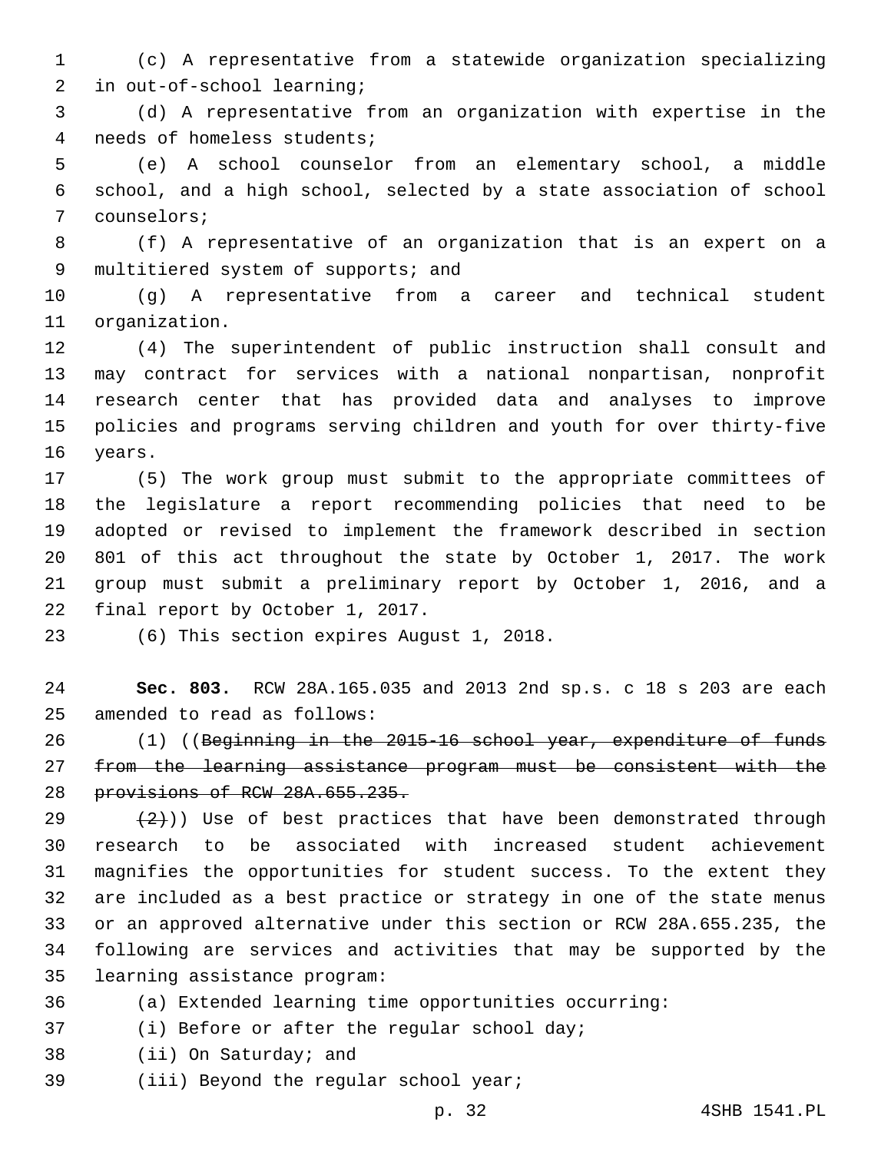(c) A representative from a statewide organization specializing 2 in out-of-school learning;

 (d) A representative from an organization with expertise in the 4 needs of homeless students;

 (e) A school counselor from an elementary school, a middle school, and a high school, selected by a state association of school 7 counselors;

 (f) A representative of an organization that is an expert on a 9 multitiered system of supports; and

 (g) A representative from a career and technical student 11 organization.

 (4) The superintendent of public instruction shall consult and may contract for services with a national nonpartisan, nonprofit research center that has provided data and analyses to improve policies and programs serving children and youth for over thirty-five 16 years.

 (5) The work group must submit to the appropriate committees of the legislature a report recommending policies that need to be adopted or revised to implement the framework described in section 801 of this act throughout the state by October 1, 2017. The work group must submit a preliminary report by October 1, 2016, and a 22 final report by October 1, 2017.

23 (6) This section expires August 1, 2018.

 **Sec. 803.** RCW 28A.165.035 and 2013 2nd sp.s. c 18 s 203 are each 25 amended to read as follows:

 (1) ((Beginning in the 2015-16 school year, expenditure of funds from the learning assistance program must be consistent with the provisions of RCW 28A.655.235.

 $(2)$ )) Use of best practices that have been demonstrated through research to be associated with increased student achievement magnifies the opportunities for student success. To the extent they are included as a best practice or strategy in one of the state menus or an approved alternative under this section or RCW 28A.655.235, the following are services and activities that may be supported by the 35 learning assistance program:

(a) Extended learning time opportunities occurring:

37 (i) Before or after the regular school day;

- 38 (ii) On Saturday; and
- 39 (iii) Beyond the regular school year;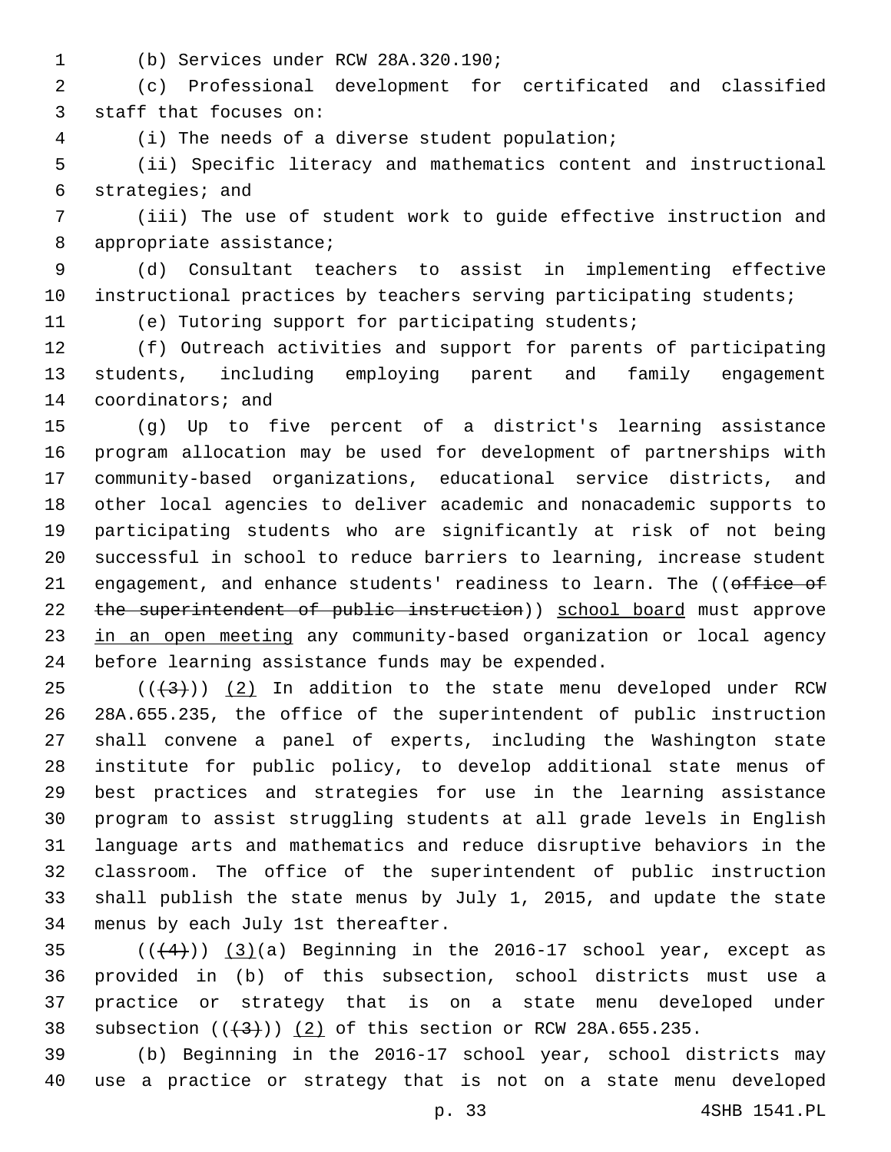(b) Services under RCW 28A.320.190;1

 (c) Professional development for certificated and classified 3 staff that focuses on:

(i) The needs of a diverse student population;4

 (ii) Specific literacy and mathematics content and instructional 6 strategies; and

 (iii) The use of student work to guide effective instruction and 8 appropriate assistance;

 (d) Consultant teachers to assist in implementing effective instructional practices by teachers serving participating students;

(e) Tutoring support for participating students;

 (f) Outreach activities and support for parents of participating students, including employing parent and family engagement 14 coordinators; and

 (g) Up to five percent of a district's learning assistance program allocation may be used for development of partnerships with community-based organizations, educational service districts, and other local agencies to deliver academic and nonacademic supports to participating students who are significantly at risk of not being successful in school to reduce barriers to learning, increase student 21 engagement, and enhance students' readiness to learn. The ((office of 22 the superintendent of public instruction)) school board must approve 23 in an open meeting any community-based organization or local agency 24 before learning assistance funds may be expended.

 ( $(\frac{43}{})$ )  $(2)$  In addition to the state menu developed under RCW 28A.655.235, the office of the superintendent of public instruction shall convene a panel of experts, including the Washington state institute for public policy, to develop additional state menus of best practices and strategies for use in the learning assistance program to assist struggling students at all grade levels in English language arts and mathematics and reduce disruptive behaviors in the classroom. The office of the superintendent of public instruction shall publish the state menus by July 1, 2015, and update the state 34 menus by each July 1st thereafter.

 $(1+4)$ )  $(3)(a)$  Beginning in the 2016-17 school year, except as provided in (b) of this subsection, school districts must use a practice or strategy that is on a state menu developed under 38 subsection  $((+3))$   $(2)$  of this section or RCW 28A.655.235.

 (b) Beginning in the 2016-17 school year, school districts may use a practice or strategy that is not on a state menu developed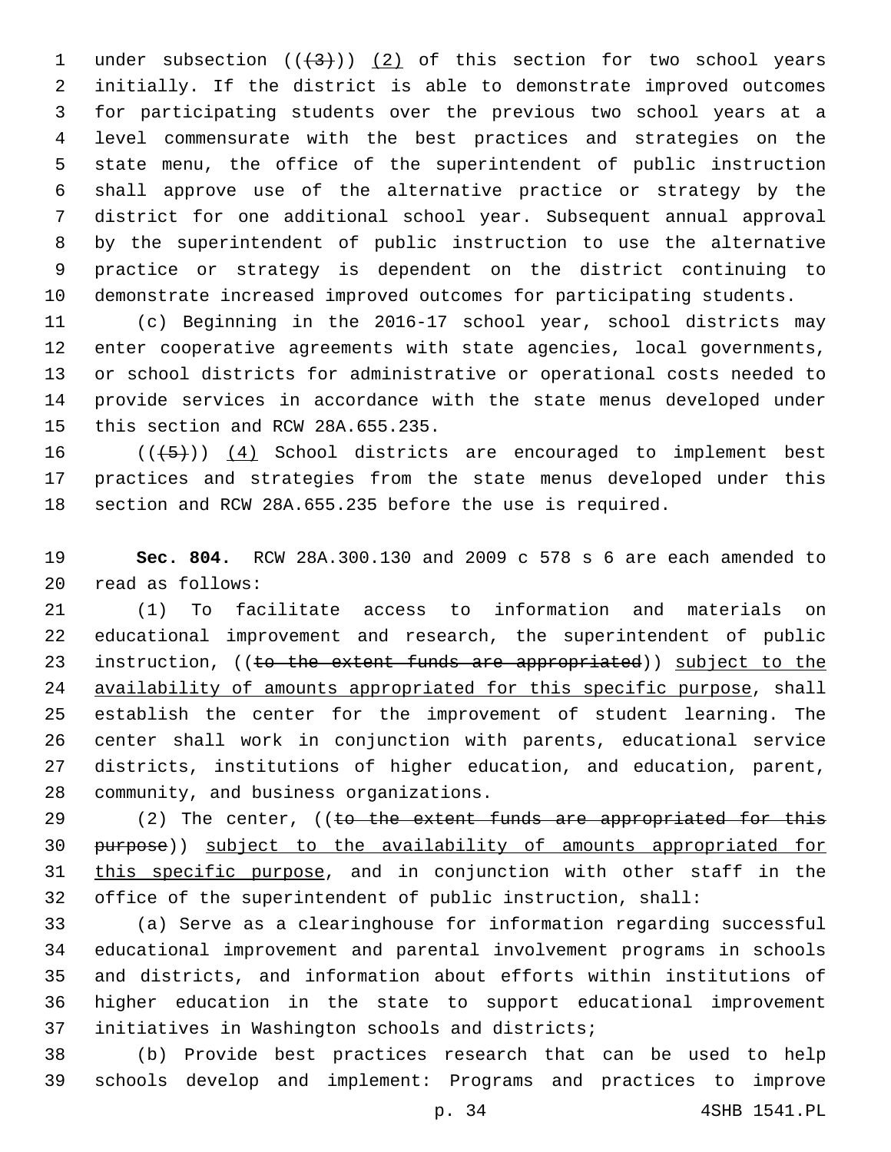1 under subsection  $((+3+))$  (2) of this section for two school years initially. If the district is able to demonstrate improved outcomes for participating students over the previous two school years at a level commensurate with the best practices and strategies on the state menu, the office of the superintendent of public instruction shall approve use of the alternative practice or strategy by the district for one additional school year. Subsequent annual approval by the superintendent of public instruction to use the alternative practice or strategy is dependent on the district continuing to demonstrate increased improved outcomes for participating students.

 (c) Beginning in the 2016-17 school year, school districts may enter cooperative agreements with state agencies, local governments, or school districts for administrative or operational costs needed to provide services in accordance with the state menus developed under 15 this section and RCW 28A.655.235.

16  $((+5+))$   $(4)$  School districts are encouraged to implement best practices and strategies from the state menus developed under this section and RCW 28A.655.235 before the use is required.

 **Sec. 804.** RCW 28A.300.130 and 2009 c 578 s 6 are each amended to read as follows:20

 (1) To facilitate access to information and materials on educational improvement and research, the superintendent of public 23 instruction, ((to the extent funds are appropriated)) subject to the availability of amounts appropriated for this specific purpose, shall establish the center for the improvement of student learning. The center shall work in conjunction with parents, educational service districts, institutions of higher education, and education, parent, 28 community, and business organizations.

29 (2) The center, ((to the extent funds are appropriated for this purpose)) subject to the availability of amounts appropriated for 31 this specific purpose, and in conjunction with other staff in the office of the superintendent of public instruction, shall:

 (a) Serve as a clearinghouse for information regarding successful educational improvement and parental involvement programs in schools and districts, and information about efforts within institutions of higher education in the state to support educational improvement 37 initiatives in Washington schools and districts;

 (b) Provide best practices research that can be used to help schools develop and implement: Programs and practices to improve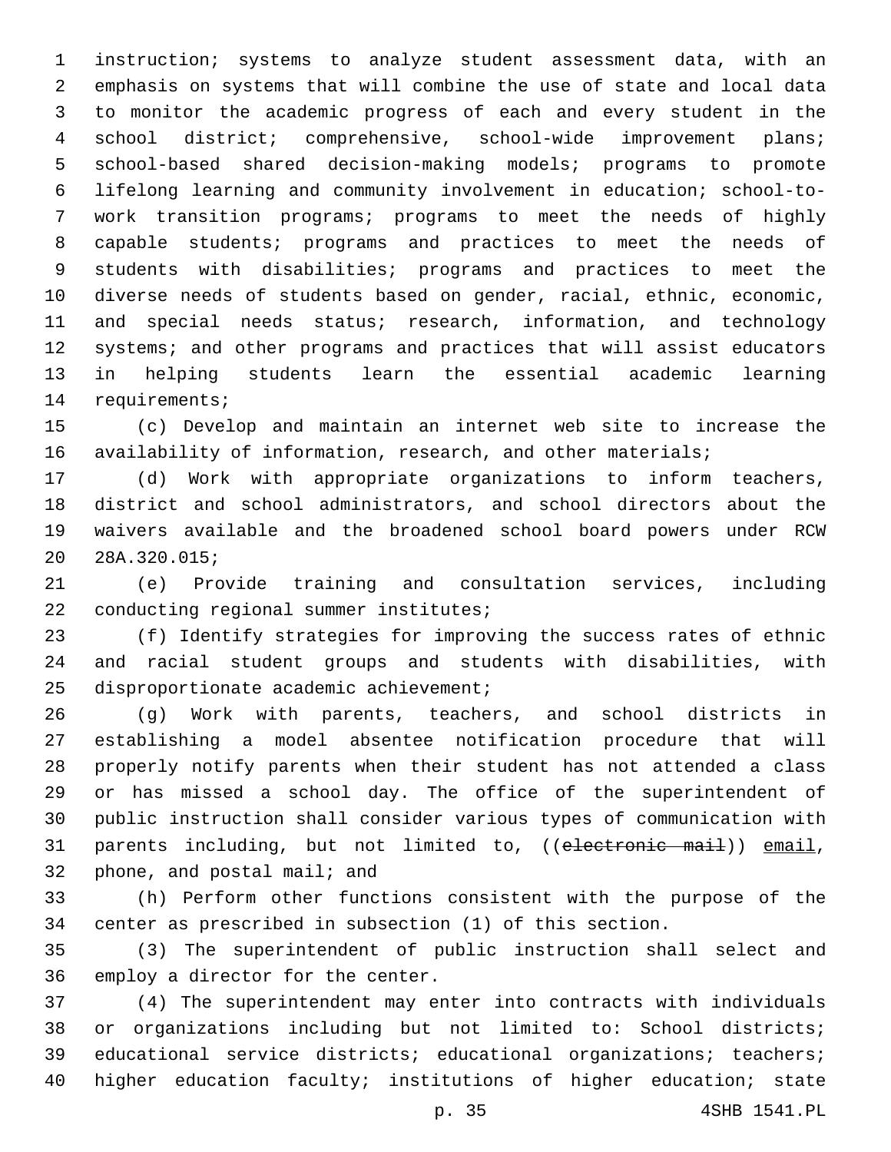instruction; systems to analyze student assessment data, with an emphasis on systems that will combine the use of state and local data to monitor the academic progress of each and every student in the school district; comprehensive, school-wide improvement plans; school-based shared decision-making models; programs to promote lifelong learning and community involvement in education; school-to- work transition programs; programs to meet the needs of highly capable students; programs and practices to meet the needs of students with disabilities; programs and practices to meet the diverse needs of students based on gender, racial, ethnic, economic, and special needs status; research, information, and technology systems; and other programs and practices that will assist educators in helping students learn the essential academic learning 14 requirements;

 (c) Develop and maintain an internet web site to increase the 16 availability of information, research, and other materials;

 (d) Work with appropriate organizations to inform teachers, district and school administrators, and school directors about the waivers available and the broadened school board powers under RCW 28A.320.015;20

 (e) Provide training and consultation services, including 22 conducting regional summer institutes;

 (f) Identify strategies for improving the success rates of ethnic and racial student groups and students with disabilities, with 25 disproportionate academic achievement;

 (g) Work with parents, teachers, and school districts in establishing a model absentee notification procedure that will properly notify parents when their student has not attended a class or has missed a school day. The office of the superintendent of public instruction shall consider various types of communication with 31 parents including, but not limited to, ((electronic mail)) email, 32 phone, and postal mail; and

 (h) Perform other functions consistent with the purpose of the center as prescribed in subsection (1) of this section.

 (3) The superintendent of public instruction shall select and 36 employ a director for the center.

 (4) The superintendent may enter into contracts with individuals or organizations including but not limited to: School districts; educational service districts; educational organizations; teachers; higher education faculty; institutions of higher education; state

p. 35 4SHB 1541.PL